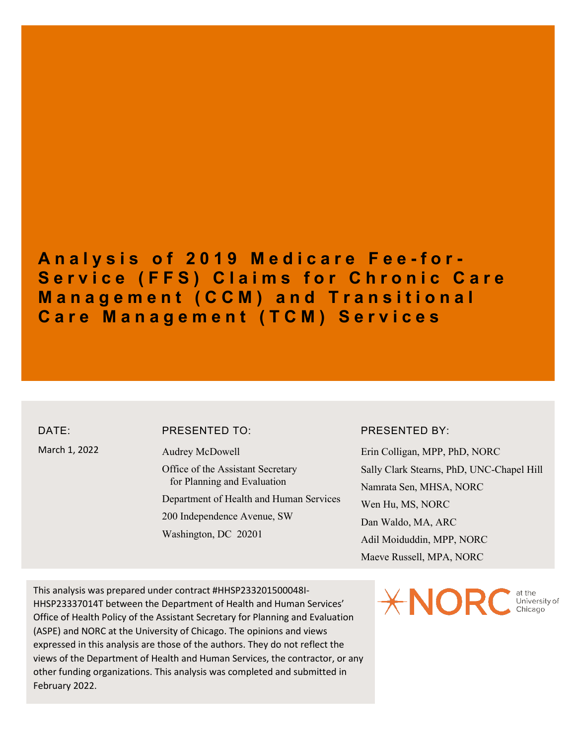## **Analysis of 2019 Medicare Fee - for - Service (FFS) Claims for Chronic Care Management (CCM) and Transitional Care Management (TCM) Services**

DATE: March 1, 2022

#### PRESENTED TO:

Audrey McDowell Office of the Assistant Secretary for Planning and Evaluation Department of Health and Human Services 200 Independence Avenue, SW Washington, DC 20201

#### PRESENTED BY:

Erin Colligan, MPP, PhD, NORC Sally Clark Stearns, PhD, UNC-Chapel Hill Namrata Sen, MHSA, NORC Wen Hu, MS, NORC Dan Waldo, MA, ARC Adil Moiduddin, MPP, NORC Maeve Russell, MPA, NORC

This analysis was prepared under contract #HHSP233201500048I-HHSP23337014T between the Department of Health and Human Services' Office of Health Policy of the Assistant Secretary for Planning and Evaluation (ASPE) and NORC at the University of Chicago. The opinions and views expressed in this analysis are those of the authors. They do not reflect the views of the Department of Health and Human Services, the contractor, or any other funding organizations. This analysis was completed and submitted in February 2022.

 $\pm$ NORC University of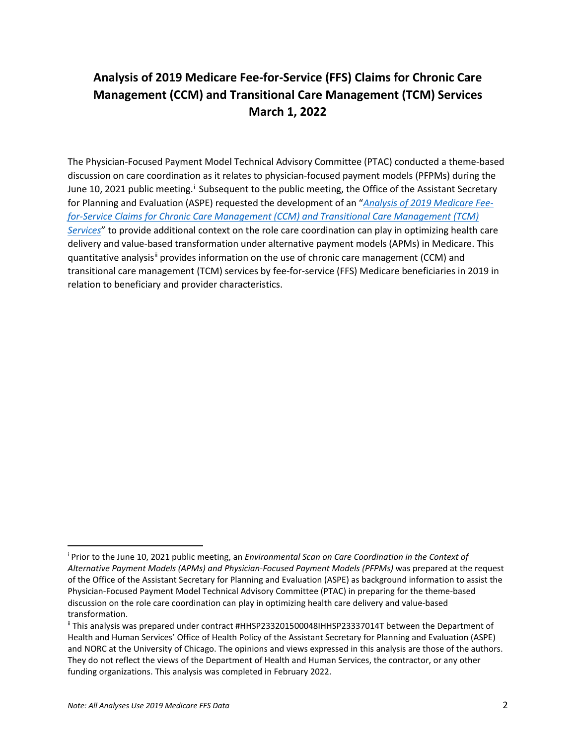## **Analysis of 2019 Medicare Fee-for-Service (FFS) Claims for Chronic Care Management (CCM) and Transitional Care Management (TCM) Services March 1, 2022**

The Physician-Focused Payment Model Technical Advisory Committee (PTAC) conducted a theme-based discussion on care coordination as it relates to physician-focused payment models (PFPMs) during the June 10, 2021 publ[i](#page-1-0)c meeting.<sup>*i*</sup> Subsequent to the public meeting, the Office of the Assistant Secretary for Planning and Evaluation (ASPE) requested the development of an "*[Analysis of 2019 Medicare Fee](https://aspe.hhs.gov/system/files/pdf/261946/Sep2020TelehealthEnvironmentalScan.PDF)[for-Service Claims for Chronic Care Management \(CCM\) and Transitional Care Management \(TCM\)](https://aspe.hhs.gov/system/files/pdf/261946/Sep2020TelehealthEnvironmentalScan.PDF)  [Services](https://aspe.hhs.gov/system/files/pdf/261946/Sep2020TelehealthEnvironmentalScan.PDF)*" to provide additional context on the role care coordination can play in optimizing health care delivery and value-based transformation under alternative payment models (APMs) in Medicare. This quantitative analysis<sup>[ii](#page-1-1)</sup> provides information on the use of chronic care management (CCM) and transitional care management (TCM) services by fee-for-service (FFS) Medicare beneficiaries in 2019 in relation to beneficiary and provider characteristics.

<span id="page-1-0"></span><sup>i</sup> Prior to the June 10, 2021 public meeting, an *Environmental Scan on Care Coordination in the Context of Alternative Payment Models (APMs) and Physician-Focused Payment Models (PFPMs)* was prepared at the request of the Office of the Assistant Secretary for Planning and Evaluation (ASPE) as background information to assist the Physician-Focused Payment Model Technical Advisory Committee (PTAC) in preparing for the theme-based discussion on the role care coordination can play in optimizing health care delivery and value-based transformation.

<span id="page-1-1"></span>ii This analysis was prepared under contract #HHSP233201500048IHHSP23337014T between the Department of Health and Human Services' Office of Health Policy of the Assistant Secretary for Planning and Evaluation (ASPE) and NORC at the University of Chicago. The opinions and views expressed in this analysis are those of the authors. They do not reflect the views of the Department of Health and Human Services, the contractor, or any other funding organizations. This analysis was completed in February 2022.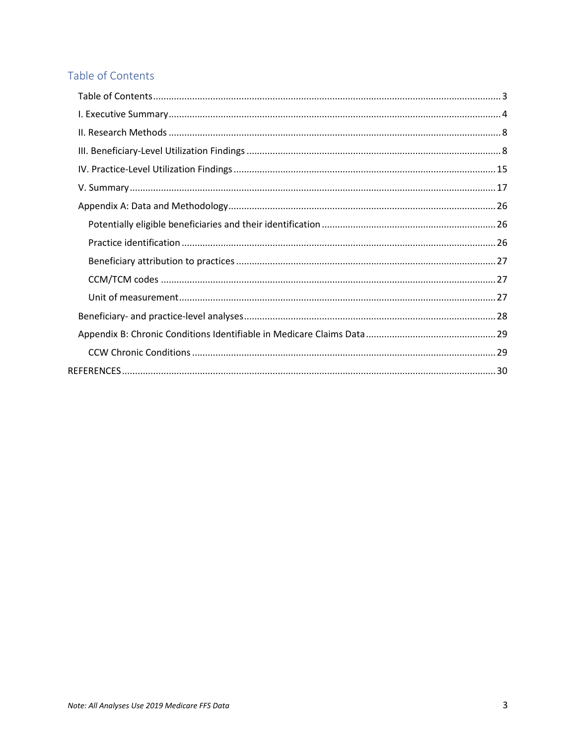### <span id="page-2-0"></span>Table of Contents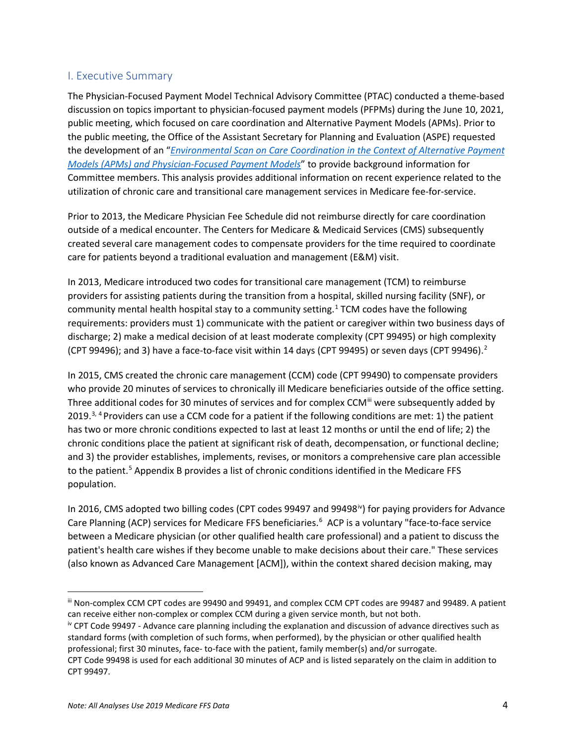#### <span id="page-3-0"></span>I. Executive Summary

The Physician-Focused Payment Model Technical Advisory Committee (PTAC) conducted a theme-based discussion on topics important to physician-focused payment models (PFPMs) during the June 10, 2021, public meeting, which focused on care coordination and Alternative Payment Models (APMs). Prior to the public meeting, the Office of the Assistant Secretary for Planning and Evaluation (ASPE) requested the development of an "*[Environmental Scan on Care Coordination in the Context of Alternative Payment](https://aspe.hhs.gov/sites/default/files/private/pdf/261946/Jun-2021-CC-Escan.pdf)  [Models \(APMs\) and Physician-Focused Payment Models](https://aspe.hhs.gov/sites/default/files/private/pdf/261946/Jun-2021-CC-Escan.pdf)*" to provide background information for Committee members. This analysis provides additional information on recent experience related to the utilization of chronic care and transitional care management services in Medicare fee-for-service.

Prior to 2013, the Medicare Physician Fee Schedule did not reimburse directly for care coordination outside of a medical encounter. The Centers for Medicare & Medicaid Services (CMS) subsequently created several care management codes to compensate providers for the time required to coordinate care for patients beyond a traditional evaluation and management (E&M) visit.

In 2013, Medicare introduced two codes for transitional care management (TCM) to reimburse providers for assisting patients during the transition from a hospital, skilled nursing facility (SNF), or community mental health hospital stay to a community setting. [1](#page-29-1) TCM codes have the following requirements: providers must 1) communicate with the patient or caregiver within two business days of discharge; 2) make a medical decision of at least moderate complexity (CPT 99495) or high complexity (CPT 99496); and 3) have a face-to-face visit within 14 days (CPT 99495) or seven days (CPT 99496).<sup>[2](#page-29-2)</sup>

In 2015, CMS created the chronic care management (CCM) code (CPT 99490) to compensate providers who provide 20 minutes of services to chronically ill Medicare beneficiaries outside of the office setting. Three additional codes for 30 minutes of services and for complex CCM<sup>III</sup> were subsequently added by 2019.<sup>[3](#page-29-3), [4](#page-29-4)</sup> Providers can use a CCM code for a patient if the following conditions are met: 1) the patient has two or more chronic conditions expected to last at least 12 months or until the end of life; 2) the chronic conditions place the patient at significant risk of death, decompensation, or functional decline; and 3) the provider establishes, implements, revises, or monitors a comprehensive care plan accessible to the patient.<sup>[5](#page-29-5)</sup> Appendix B provides a list of chronic conditions identified in the Medicare FFS population.

In 2016, CMS adopted two billing codes (CPT codes 99497 and 99498 $\mu$ ) for paying providers for Advance Care Planning (ACP) services for Medicare FFS beneficiaries.<sup>[6](#page-29-6)</sup> ACP is a voluntary "face-to-face service between a Medicare physician (or other qualified health care professional) and a patient to discuss the patient's health care wishes if they become unable to make decisions about their care." These services (also known as Advanced Care Management [ACM]), within the context shared decision making, may

<span id="page-3-1"></span>iii Non-complex CCM CPT codes are 99490 and 99491, and complex CCM CPT codes are 99487 and 99489. A patient can receive either non-complex or complex CCM during a given service month, but not both.<br><sup>iv</sup> CPT Code 99497 - Advance care planning including the explanation and discussion of advance directives such as

<span id="page-3-2"></span>standard forms (with completion of such forms, when performed), by the physician or other qualified health professional; first 30 minutes, face- to-face with the patient, family member(s) and/or surrogate.

CPT Code 99498 is used for each additional 30 minutes of ACP and is listed separately on the claim in addition to CPT 99497.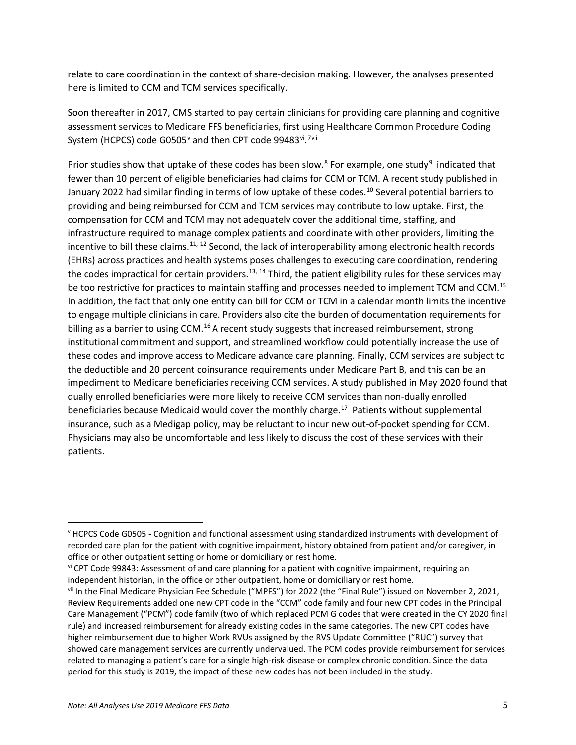relate to care coordination in the context of share-decision making. However, the analyses presented here is limited to CCM and TCM services specifically.

Soon thereafter in 2017, CMS started to pay certain clinicians for providing care planning and cognitive assessment services to Medicare FFS beneficiaries, first using Healthcare Common Procedure Coding System (HCPCS) code G0505 $^{\circ}$  and then CPT code 99483 $^{\mathrm{vi}}$  $^{\mathrm{vi}}$  $^{\mathrm{vi}}$ .<sup>[7](#page-29-7)[vii](#page-4-2)</sup>

Prior studies show that uptake of these codes has been slow. $8$  For example, one study $9$  indicated that fewer than 10 percent of eligible beneficiaries had claims for CCM or TCM. A recent study published in January 2022 had similar finding in terms of low uptake of these codes.<sup>[10](#page-29-10)</sup> Several potential barriers to providing and being reimbursed for CCM and TCM services may contribute to low uptake. First, the compensation for CCM and TCM may not adequately cover the additional time, staffing, and infrastructure required to manage complex patients and coordinate with other providers, limiting the incentive to bill these claims.<sup>[11,](#page-29-11) [12](#page-29-12)</sup> Second, the lack of interoperability among electronic health records (EHRs) across practices and health systems poses challenges to executing care coordination, rendering the codes impractical for certain providers.<sup>[13,](#page-29-13) [14](#page-29-14)</sup> Third, the patient eligibility rules for these services may be too restrictive for practices to maintain staffing and processes needed to implement TCM and CCM.<sup>[15](#page-29-15)</sup> In addition, the fact that only one entity can bill for CCM or TCM in a calendar month limits the incentive to engage multiple clinicians in care. Providers also cite the burden of documentation requirements for billing as a barrier to using CCM.<sup>[16](#page-29-16)</sup> A recent study suggests that increased reimbursement, strong institutional commitment and support, and streamlined workflow could potentially increase the use of these codes and improve access to Medicare advance care planning. Finally, CCM services are subject to the deductible and 20 percent coinsurance requirements under Medicare Part B, and this can be an impediment to Medicare beneficiaries receiving CCM services. A study published in May 2020 found that dually enrolled beneficiaries were more likely to receive CCM services than non-dually enrolled beneficiaries because Medicaid would cover the monthly charge.<sup>17</sup> Patients without supplemental insurance, such as a Medigap policy, may be reluctant to incur new out-of-pocket spending for CCM. Physicians may also be uncomfortable and less likely to discuss the cost of these services with their patients.

<span id="page-4-0"></span><sup>v</sup> HCPCS Code G0505 - Cognition and functional assessment using standardized instruments with development of recorded care plan for the patient with cognitive impairment, history obtained from patient and/or caregiver, in office or other outpatient setting or home or domiciliary or rest home.<br>vi CPT Code 99843: Assessment of and care planning for a patient with cognitive impairment, requiring an

<span id="page-4-1"></span>independent historian, in the office or other outpatient, home or domiciliary or rest home.<br>vii In the Final Medicare Physician Fee Schedule ("MPFS") for 2022 (the "Final Rule") issued on November 2, 2021,

<span id="page-4-2"></span>Review Requirements added one new CPT code in the "CCM" code family and four new CPT codes in the Principal Care Management ("PCM") code family (two of which replaced PCM G codes that were created in the CY 2020 final rule) and increased reimbursement for already existing codes in the same categories. The new CPT codes have higher reimbursement due to higher Work RVUs assigned by the RVS Update Committee ("RUC") survey that showed care management services are currently undervalued. The PCM codes provide reimbursement for services related to managing a patient's care for a single high-risk disease or complex chronic condition. Since the data period for this study is 2019, the impact of these new codes has not been included in the study.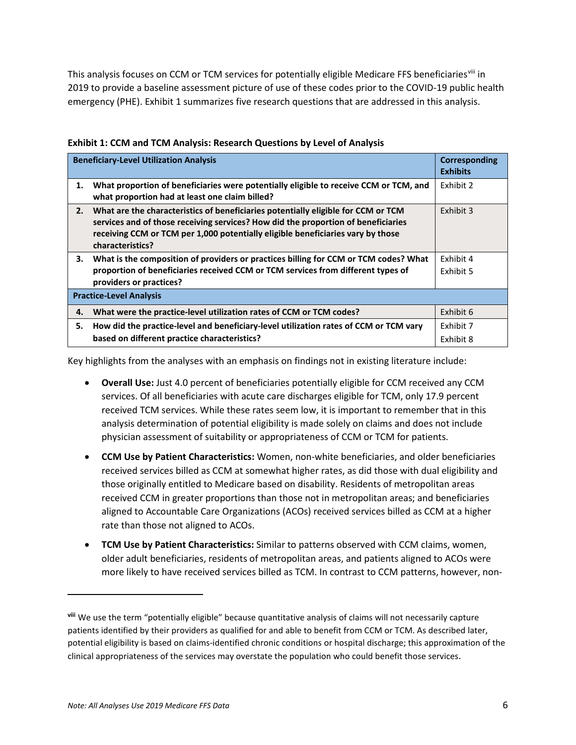This analysis focuses on CCM or TCM services for potentially eligible Medicare FFS beneficiaries<sup>[viii](#page-5-0)</sup> in 2019 to provide a baseline assessment picture of use of these codes prior to the COVID-19 public health emergency (PHE). Exhibit 1 summarizes five research questions that are addressed in this analysis.

|    | <b>Beneficiary-Level Utilization Analysis</b>                                                                                                                                                                                                                                 | Corresponding<br><b>Exhibits</b> |
|----|-------------------------------------------------------------------------------------------------------------------------------------------------------------------------------------------------------------------------------------------------------------------------------|----------------------------------|
| 1. | What proportion of beneficiaries were potentially eligible to receive CCM or TCM, and<br>what proportion had at least one claim billed?                                                                                                                                       | Exhibit 2                        |
| 2. | What are the characteristics of beneficiaries potentially eligible for CCM or TCM<br>services and of those receiving services? How did the proportion of beneficiaries<br>receiving CCM or TCM per 1,000 potentially eligible beneficiaries vary by those<br>characteristics? | Exhibit 3                        |
| 3. | What is the composition of providers or practices billing for CCM or TCM codes? What<br>proportion of beneficiaries received CCM or TCM services from different types of<br>providers or practices?                                                                           | Exhibit 4<br>Exhibit 5           |
|    | <b>Practice-Level Analysis</b>                                                                                                                                                                                                                                                |                                  |
| 4. | What were the practice-level utilization rates of CCM or TCM codes?                                                                                                                                                                                                           | Exhibit 6                        |
| 5. | How did the practice-level and beneficiary-level utilization rates of CCM or TCM vary<br>based on different practice characteristics?                                                                                                                                         | Exhibit 7<br>Exhibit 8           |

#### **Exhibit 1: CCM and TCM Analysis: Research Questions by Level of Analysis**

Key highlights from the analyses with an emphasis on findings not in existing literature include:

- **Overall Use:** Just 4.0 percent of beneficiaries potentially eligible for CCM received any CCM services. Of all beneficiaries with acute care discharges eligible for TCM, only 17.9 percent received TCM services. While these rates seem low, it is important to remember that in this analysis determination of potential eligibility is made solely on claims and does not include physician assessment of suitability or appropriateness of CCM or TCM for patients.
- **CCM Use by Patient Characteristics:** Women, non-white beneficiaries, and older beneficiaries received services billed as CCM at somewhat higher rates, as did those with dual eligibility and those originally entitled to Medicare based on disability. Residents of metropolitan areas received CCM in greater proportions than those not in metropolitan areas; and beneficiaries aligned to Accountable Care Organizations (ACOs) received services billed as CCM at a higher rate than those not aligned to ACOs.
- **TCM Use by Patient Characteristics:** Similar to patterns observed with CCM claims, women, older adult beneficiaries, residents of metropolitan areas, and patients aligned to ACOs were more likely to have received services billed as TCM. In contrast to CCM patterns, however, non-

<span id="page-5-0"></span>**viii** We use the term "potentially eligible" because quantitative analysis of claims will not necessarily capture patients identified by their providers as qualified for and able to benefit from CCM or TCM. As described later, potential eligibility is based on claims-identified chronic conditions or hospital discharge; this approximation of the clinical appropriateness of the services may overstate the population who could benefit those services.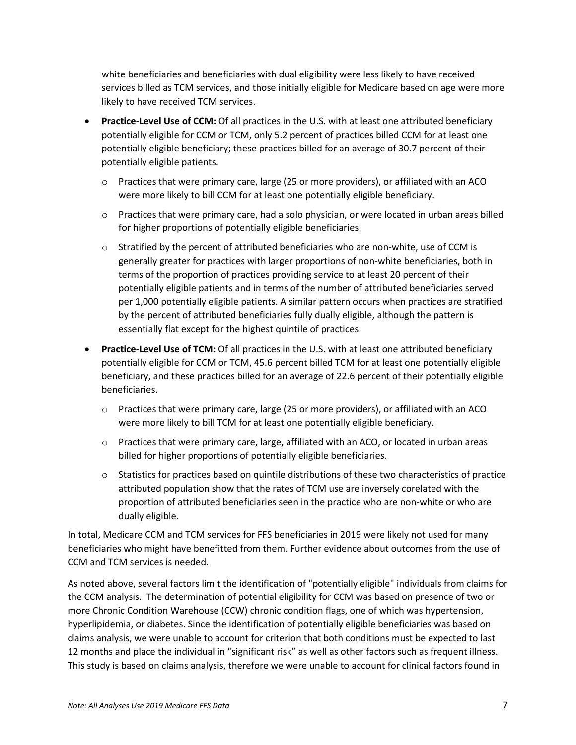white beneficiaries and beneficiaries with dual eligibility were less likely to have received services billed as TCM services, and those initially eligible for Medicare based on age were more likely to have received TCM services.

- **Practice-Level Use of CCM:** Of all practices in the U.S. with at least one attributed beneficiary potentially eligible for CCM or TCM, only 5.2 percent of practices billed CCM for at least one potentially eligible beneficiary; these practices billed for an average of 30.7 percent of their potentially eligible patients.
	- $\circ$  Practices that were primary care, large (25 or more providers), or affiliated with an ACO were more likely to bill CCM for at least one potentially eligible beneficiary.
	- $\circ$  Practices that were primary care, had a solo physician, or were located in urban areas billed for higher proportions of potentially eligible beneficiaries.
	- $\circ$  Stratified by the percent of attributed beneficiaries who are non-white, use of CCM is generally greater for practices with larger proportions of non-white beneficiaries, both in terms of the proportion of practices providing service to at least 20 percent of their potentially eligible patients and in terms of the number of attributed beneficiaries served per 1,000 potentially eligible patients. A similar pattern occurs when practices are stratified by the percent of attributed beneficiaries fully dually eligible, although the pattern is essentially flat except for the highest quintile of practices.
- **Practice-Level Use of TCM:** Of all practices in the U.S. with at least one attributed beneficiary potentially eligible for CCM or TCM, 45.6 percent billed TCM for at least one potentially eligible beneficiary, and these practices billed for an average of 22.6 percent of their potentially eligible beneficiaries.
	- o Practices that were primary care, large (25 or more providers), or affiliated with an ACO were more likely to bill TCM for at least one potentially eligible beneficiary.
	- $\circ$  Practices that were primary care, large, affiliated with an ACO, or located in urban areas billed for higher proportions of potentially eligible beneficiaries.
	- o Statistics for practices based on quintile distributions of these two characteristics of practice attributed population show that the rates of TCM use are inversely corelated with the proportion of attributed beneficiaries seen in the practice who are non-white or who are dually eligible.

In total, Medicare CCM and TCM services for FFS beneficiaries in 2019 were likely not used for many beneficiaries who might have benefitted from them. Further evidence about outcomes from the use of CCM and TCM services is needed.

As noted above, several factors limit the identification of "potentially eligible" individuals from claims for the CCM analysis. The determination of potential eligibility for CCM was based on presence of two or more Chronic Condition Warehouse (CCW) chronic condition flags, one of which was hypertension, hyperlipidemia, or diabetes. Since the identification of potentially eligible beneficiaries was based on claims analysis, we were unable to account for criterion that both conditions must be expected to last 12 months and place the individual in "significant risk" as well as other factors such as frequent illness. This study is based on claims analysis, therefore we were unable to account for clinical factors found in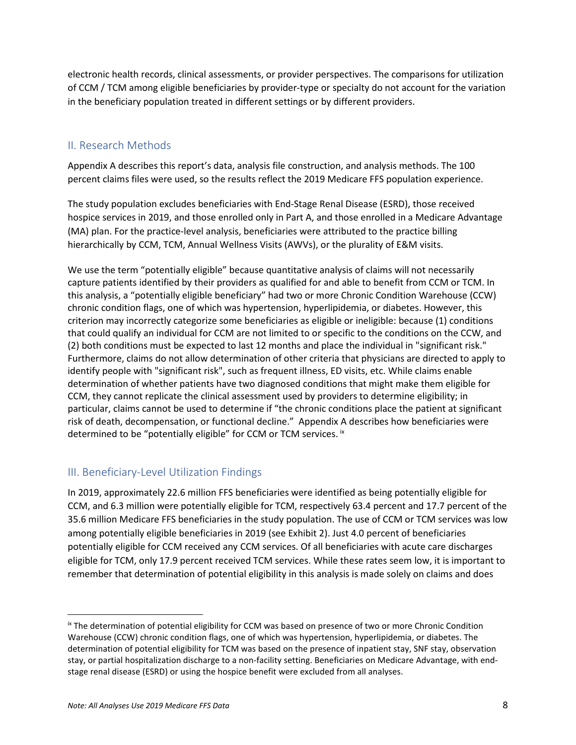electronic health records, clinical assessments, or provider perspectives. The comparisons for utilization of CCM / TCM among eligible beneficiaries by provider-type or specialty do not account for the variation in the beneficiary population treated in different settings or by different providers.

#### <span id="page-7-0"></span>II. Research Methods

Appendix A describes this report's data, analysis file construction, and analysis methods. The 100 percent claims files were used, so the results reflect the 2019 Medicare FFS population experience.

The study population excludes beneficiaries with End-Stage Renal Disease (ESRD), those received hospice services in 2019, and those enrolled only in Part A, and those enrolled in a Medicare Advantage (MA) plan. For the practice-level analysis, beneficiaries were attributed to the practice billing hierarchically by CCM, TCM, Annual Wellness Visits (AWVs), or the plurality of E&M visits.

We use the term "potentially eligible" because quantitative analysis of claims will not necessarily capture patients identified by their providers as qualified for and able to benefit from CCM or TCM. In this analysis, a "potentially eligible beneficiary" had two or more Chronic Condition Warehouse (CCW) chronic condition flags, one of which was hypertension, hyperlipidemia, or diabetes. However, this criterion may incorrectly categorize some beneficiaries as eligible or ineligible: because (1) conditions that could qualify an individual for CCM are not limited to or specific to the conditions on the CCW, and (2) both conditions must be expected to last 12 months and place the individual in "significant risk." Furthermore, claims do not allow determination of other criteria that physicians are directed to apply to identify people with "significant risk", such as frequent illness, ED visits, etc. While claims enable determination of whether patients have two diagnosed conditions that might make them eligible for CCM, they cannot replicate the clinical assessment used by providers to determine eligibility; in particular, claims cannot be used to determine if "the chronic conditions place the patient at significant risk of death, decompensation, or functional decline." Appendix A describes how beneficiaries were determined to be "potentially eligible" for CCM or TCM services. [ix](#page-7-2)

#### <span id="page-7-1"></span>III. Beneficiary-Level Utilization Findings

In 2019, approximately 22.6 million FFS beneficiaries were identified as being potentially eligible for CCM, and 6.3 million were potentially eligible for TCM, respectively 63.4 percent and 17.7 percent of the 35.6 million Medicare FFS beneficiaries in the study population. The use of CCM or TCM services was low among potentially eligible beneficiaries in 2019 (see Exhibit 2). Just 4.0 percent of beneficiaries potentially eligible for CCM received any CCM services. Of all beneficiaries with acute care discharges eligible for TCM, only 17.9 percent received TCM services. While these rates seem low, it is important to remember that determination of potential eligibility in this analysis is made solely on claims and does

<span id="page-7-2"></span><sup>&</sup>lt;sup>ix</sup> The determination of potential eligibility for CCM was based on presence of two or more Chronic Condition Warehouse (CCW) chronic condition flags, one of which was hypertension, hyperlipidemia, or diabetes. The determination of potential eligibility for TCM was based on the presence of inpatient stay, SNF stay, observation stay, or partial hospitalization discharge to a non-facility setting. Beneficiaries on Medicare Advantage, with endstage renal disease (ESRD) or using the hospice benefit were excluded from all analyses.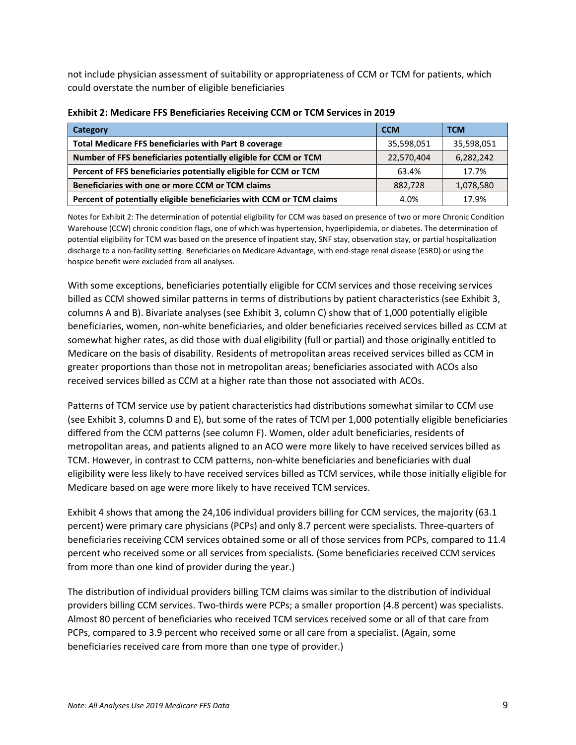not include physician assessment of suitability or appropriateness of CCM or TCM for patients, which could overstate the number of eligible beneficiaries

| Category                                                             | <b>CCM</b> | <b>TCM</b> |
|----------------------------------------------------------------------|------------|------------|
| <b>Total Medicare FFS beneficiaries with Part B coverage</b>         | 35,598,051 | 35,598,051 |
| Number of FFS beneficiaries potentially eligible for CCM or TCM      | 22,570,404 | 6,282,242  |
| Percent of FFS beneficiaries potentially eligible for CCM or TCM     | 63.4%      | 17.7%      |
| Beneficiaries with one or more CCM or TCM claims                     | 882,728    | 1,078,580  |
| Percent of potentially eligible beneficiaries with CCM or TCM claims | 4.0%       | 17.9%      |

#### **Exhibit 2: Medicare FFS Beneficiaries Receiving CCM or TCM Services in 2019**

Notes for Exhibit 2: The determination of potential eligibility for CCM was based on presence of two or more Chronic Condition Warehouse (CCW) chronic condition flags, one of which was hypertension, hyperlipidemia, or diabetes. The determination of potential eligibility for TCM was based on the presence of inpatient stay, SNF stay, observation stay, or partial hospitalization discharge to a non-facility setting. Beneficiaries on Medicare Advantage, with end-stage renal disease (ESRD) or using the hospice benefit were excluded from all analyses.

With some exceptions, beneficiaries potentially eligible for CCM services and those receiving services billed as CCM showed similar patterns in terms of distributions by patient characteristics (see Exhibit 3, columns A and B). Bivariate analyses (see Exhibit 3, column C) show that of 1,000 potentially eligible beneficiaries, women, non-white beneficiaries, and older beneficiaries received services billed as CCM at somewhat higher rates, as did those with dual eligibility (full or partial) and those originally entitled to Medicare on the basis of disability. Residents of metropolitan areas received services billed as CCM in greater proportions than those not in metropolitan areas; beneficiaries associated with ACOs also received services billed as CCM at a higher rate than those not associated with ACOs.

Patterns of TCM service use by patient characteristics had distributions somewhat similar to CCM use (see Exhibit 3, columns D and E), but some of the rates of TCM per 1,000 potentially eligible beneficiaries differed from the CCM patterns (see column F). Women, older adult beneficiaries, residents of metropolitan areas, and patients aligned to an ACO were more likely to have received services billed as TCM. However, in contrast to CCM patterns, non-white beneficiaries and beneficiaries with dual eligibility were less likely to have received services billed as TCM services, while those initially eligible for Medicare based on age were more likely to have received TCM services.

Exhibit 4 shows that among the 24,106 individual providers billing for CCM services, the majority (63.1 percent) were primary care physicians (PCPs) and only 8.7 percent were specialists. Three-quarters of beneficiaries receiving CCM services obtained some or all of those services from PCPs, compared to 11.4 percent who received some or all services from specialists. (Some beneficiaries received CCM services from more than one kind of provider during the year.)

The distribution of individual providers billing TCM claims was similar to the distribution of individual providers billing CCM services. Two-thirds were PCPs; a smaller proportion (4.8 percent) was specialists. Almost 80 percent of beneficiaries who received TCM services received some or all of that care from PCPs, compared to 3.9 percent who received some or all care from a specialist. (Again, some beneficiaries received care from more than one type of provider.)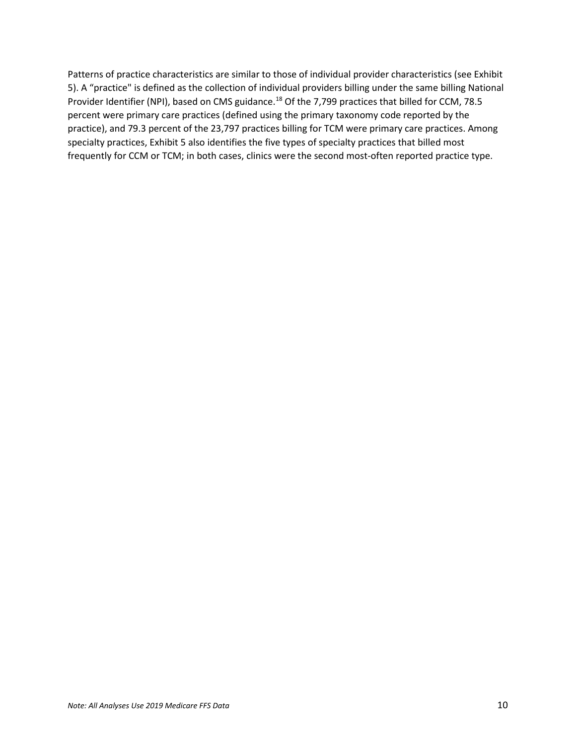Patterns of practice characteristics are similar to those of individual provider characteristics (see Exhibit 5). A "practice" is defined as the collection of individual providers billing under the same billing National Provider Identifier (NPI), based on CMS guidance.<sup>[18](#page-29-18)</sup> Of the 7,799 practices that billed for CCM, 78.5 percent were primary care practices (defined using the primary taxonomy code reported by the practice), and 79.3 percent of the 23,797 practices billing for TCM were primary care practices. Among specialty practices, Exhibit 5 also identifies the five types of specialty practices that billed most frequently for CCM or TCM; in both cases, clinics were the second most-often reported practice type.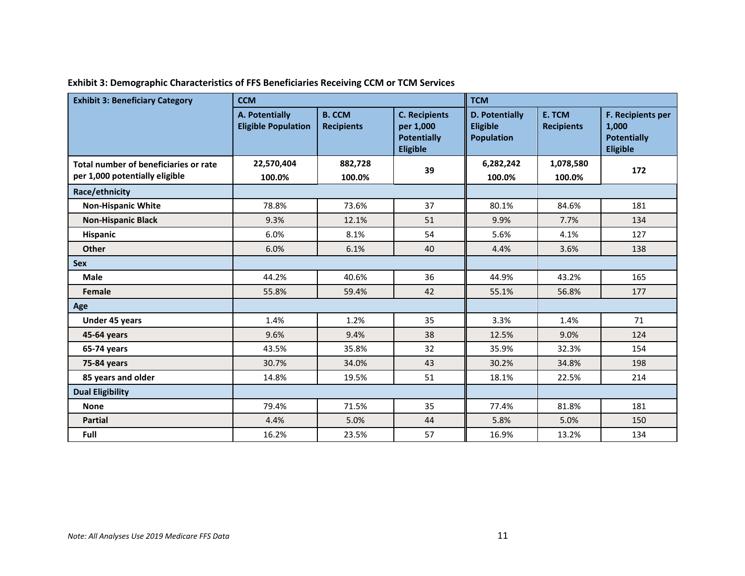| <b>Exhibit 3: Beneficiary Category</b>                                  | <b>CCM</b>                                   |                                    |                                                                            | <b>TCM</b>                                      |                             |                                                                     |  |  |
|-------------------------------------------------------------------------|----------------------------------------------|------------------------------------|----------------------------------------------------------------------------|-------------------------------------------------|-----------------------------|---------------------------------------------------------------------|--|--|
|                                                                         | A. Potentially<br><b>Eligible Population</b> | <b>B. CCM</b><br><b>Recipients</b> | <b>C. Recipients</b><br>per 1,000<br><b>Potentially</b><br><b>Eligible</b> | D. Potentially<br>Eligible<br><b>Population</b> | E. TCM<br><b>Recipients</b> | F. Recipients per<br>1,000<br><b>Potentially</b><br><b>Eligible</b> |  |  |
| Total number of beneficiaries or rate<br>per 1,000 potentially eligible | 22,570,404<br>100.0%                         | 882,728<br>100.0%                  | 39                                                                         | 6,282,242<br>100.0%                             | 1,078,580<br>100.0%         | 172                                                                 |  |  |
| Race/ethnicity                                                          |                                              |                                    |                                                                            |                                                 |                             |                                                                     |  |  |
| <b>Non-Hispanic White</b>                                               | 78.8%                                        | 73.6%                              | 37                                                                         | 80.1%                                           | 84.6%                       | 181                                                                 |  |  |
| <b>Non-Hispanic Black</b>                                               | 9.3%                                         | 12.1%                              | 51                                                                         | 9.9%                                            | 7.7%                        | 134                                                                 |  |  |
| Hispanic                                                                | 6.0%                                         | 8.1%                               | 54                                                                         | 5.6%                                            | 4.1%                        | 127                                                                 |  |  |
| Other                                                                   | 6.0%                                         | 6.1%                               | 40                                                                         | 4.4%                                            | 3.6%                        | 138                                                                 |  |  |
| <b>Sex</b>                                                              |                                              |                                    |                                                                            |                                                 |                             |                                                                     |  |  |
| <b>Male</b>                                                             | 44.2%                                        | 40.6%                              | 36                                                                         | 44.9%                                           | 43.2%                       | 165                                                                 |  |  |
| Female                                                                  | 55.8%                                        | 59.4%                              | 42                                                                         | 55.1%                                           | 56.8%                       | 177                                                                 |  |  |
| Age                                                                     |                                              |                                    |                                                                            |                                                 |                             |                                                                     |  |  |
| Under 45 years                                                          | 1.4%                                         | 1.2%                               | 35                                                                         | 3.3%                                            | 1.4%                        | 71                                                                  |  |  |
| 45-64 years                                                             | 9.6%                                         | 9.4%                               | 38                                                                         | 12.5%                                           | 9.0%                        | 124                                                                 |  |  |
| 65-74 years                                                             | 43.5%                                        | 35.8%                              | 32                                                                         | 35.9%                                           | 32.3%                       | 154                                                                 |  |  |
| 75-84 years                                                             | 30.7%                                        | 34.0%                              | 43                                                                         | 30.2%                                           | 34.8%                       | 198                                                                 |  |  |
| 85 years and older                                                      | 14.8%                                        | 19.5%                              | 51                                                                         | 18.1%                                           | 22.5%                       | 214                                                                 |  |  |
| <b>Dual Eligibility</b>                                                 |                                              |                                    |                                                                            |                                                 |                             |                                                                     |  |  |
| <b>None</b>                                                             | 79.4%                                        | 71.5%                              | 35                                                                         | 77.4%                                           | 81.8%                       | 181                                                                 |  |  |
| <b>Partial</b>                                                          | 4.4%                                         | 5.0%                               | 44                                                                         | 5.8%                                            | 5.0%                        | 150                                                                 |  |  |
| Full                                                                    | 16.2%                                        | 23.5%                              | 57                                                                         | 16.9%                                           | 13.2%                       | 134                                                                 |  |  |

**Exhibit 3: Demographic Characteristics of FFS Beneficiaries Receiving CCM or TCM Services**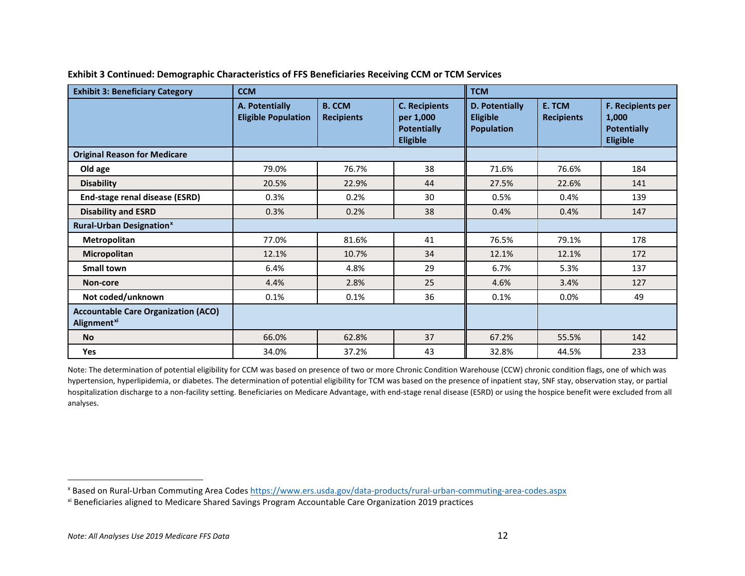| <b>Exhibit 3: Beneficiary Category</b>                                       | <b>CCM</b>                                   |                                    |                                                                            | <b>TCM</b>                                                    |                             |                                                                     |
|------------------------------------------------------------------------------|----------------------------------------------|------------------------------------|----------------------------------------------------------------------------|---------------------------------------------------------------|-----------------------------|---------------------------------------------------------------------|
|                                                                              | A. Potentially<br><b>Eligible Population</b> | <b>B. CCM</b><br><b>Recipients</b> | <b>C. Recipients</b><br>per 1,000<br><b>Potentially</b><br><b>Eligible</b> | <b>D. Potentially</b><br><b>Eligible</b><br><b>Population</b> | E. TCM<br><b>Recipients</b> | F. Recipients per<br>1,000<br><b>Potentially</b><br><b>Eligible</b> |
| <b>Original Reason for Medicare</b>                                          |                                              |                                    |                                                                            |                                                               |                             |                                                                     |
| Old age                                                                      | 79.0%                                        | 76.7%                              | 38                                                                         | 71.6%                                                         | 76.6%                       | 184                                                                 |
| <b>Disability</b>                                                            | 20.5%                                        | 22.9%                              | 44                                                                         | 27.5%                                                         | 22.6%                       | 141                                                                 |
| End-stage renal disease (ESRD)                                               | 0.3%                                         | 0.2%                               | 30                                                                         | 0.5%                                                          | 0.4%                        | 139                                                                 |
| <b>Disability and ESRD</b>                                                   | 0.3%                                         | 0.2%                               | 38                                                                         | 0.4%                                                          | 0.4%                        | 147                                                                 |
| <b>Rural-Urban Designation<sup>x</sup></b>                                   |                                              |                                    |                                                                            |                                                               |                             |                                                                     |
| Metropolitan                                                                 | 77.0%                                        | 81.6%                              | 41                                                                         | 76.5%                                                         | 79.1%                       | 178                                                                 |
| Micropolitan                                                                 | 12.1%                                        | 10.7%                              | 34                                                                         | 12.1%                                                         | 12.1%                       | 172                                                                 |
| <b>Small town</b>                                                            | 6.4%                                         | 4.8%                               | 29                                                                         | 6.7%                                                          | 5.3%                        | 137                                                                 |
| Non-core                                                                     | 4.4%                                         | 2.8%                               | 25                                                                         | 4.6%                                                          | 3.4%                        | 127                                                                 |
| Not coded/unknown                                                            | 0.1%                                         | 0.1%                               | 36                                                                         | 0.1%                                                          | 0.0%                        | 49                                                                  |
| <b>Accountable Care Organization (ACO)</b><br><b>Alignment</b> <sup>xi</sup> |                                              |                                    |                                                                            |                                                               |                             |                                                                     |
| <b>No</b>                                                                    | 66.0%                                        | 62.8%                              | 37                                                                         | 67.2%                                                         | 55.5%                       | 142                                                                 |
| <b>Yes</b>                                                                   | 34.0%                                        | 37.2%                              | 43                                                                         | 32.8%                                                         | 44.5%                       | 233                                                                 |

#### <span id="page-11-1"></span><span id="page-11-0"></span>**Exhibit 3 Continued: Demographic Characteristics of FFS Beneficiaries Receiving CCM or TCM Services**

Note: The determination of potential eligibility for CCM was based on presence of two or more Chronic Condition Warehouse (CCW) chronic condition flags, one of which was hypertension, hyperlipidemia, or diabetes. The determination of potential eligibility for TCM was based on the presence of inpatient stay, SNF stay, observation stay, or partial hospitalization discharge to a non-facility setting. Beneficiaries on Medicare Advantage, with end-stage renal disease (ESRD) or using the hospice benefit were excluded from all analyses.

<sup>&</sup>lt;sup>x</sup> Based on Rural-Urban Commuting Area Codes https://www.ers.usda.gov/data-products/rural-urban-commuting-area-codes.aspx<br><sup>xi</sup> Beneficiaries aligned to Medicare Shared Savings Program Accountable Care Organization 2019 pr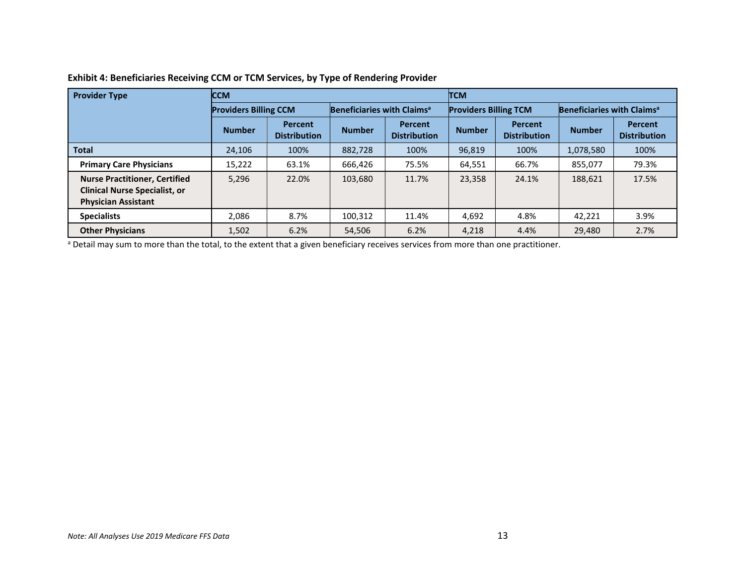| <b>Provider Type</b>                                                                                       | <b>CCM</b>                   |                                       |                                        |                                       | <b>TCM</b>                   |                                       |                                        |                                       |  |
|------------------------------------------------------------------------------------------------------------|------------------------------|---------------------------------------|----------------------------------------|---------------------------------------|------------------------------|---------------------------------------|----------------------------------------|---------------------------------------|--|
|                                                                                                            | <b>Providers Billing CCM</b> |                                       | Beneficiaries with Claims <sup>a</sup> |                                       | <b>Providers Billing TCM</b> |                                       | Beneficiaries with Claims <sup>a</sup> |                                       |  |
|                                                                                                            | <b>Number</b>                | <b>Percent</b><br><b>Distribution</b> | <b>Number</b>                          | <b>Percent</b><br><b>Distribution</b> | <b>Number</b>                | <b>Percent</b><br><b>Distribution</b> | <b>Number</b>                          | <b>Percent</b><br><b>Distribution</b> |  |
| <b>Total</b>                                                                                               | 24,106                       | 100%                                  | 882,728                                | 100%                                  | 96,819                       | 100%                                  | 1,078,580                              | 100%                                  |  |
| <b>Primary Care Physicians</b>                                                                             | 15,222                       | 63.1%                                 | 666,426                                | 75.5%                                 | 64,551                       | 66.7%                                 | 855,077                                | 79.3%                                 |  |
| <b>Nurse Practitioner, Certified</b><br><b>Clinical Nurse Specialist, or</b><br><b>Physician Assistant</b> | 5,296                        | 22.0%                                 | 103,680                                | 11.7%                                 | 23,358                       | 24.1%                                 | 188,621                                | 17.5%                                 |  |
| <b>Specialists</b>                                                                                         | 2,086                        | 8.7%                                  | 100,312                                | 11.4%                                 | 4,692                        | 4.8%                                  | 42,221                                 | 3.9%                                  |  |
| <b>Other Physicians</b>                                                                                    | 1,502                        | 6.2%                                  | 54.506                                 | 6.2%                                  | 4,218                        | 4.4%                                  | 29,480                                 | 2.7%                                  |  |

#### **Exhibit 4: Beneficiaries Receiving CCM or TCM Services, by Type of Rendering Provider**

a Detail may sum to more than the total, to the extent that a given beneficiary receives services from more than one practitioner.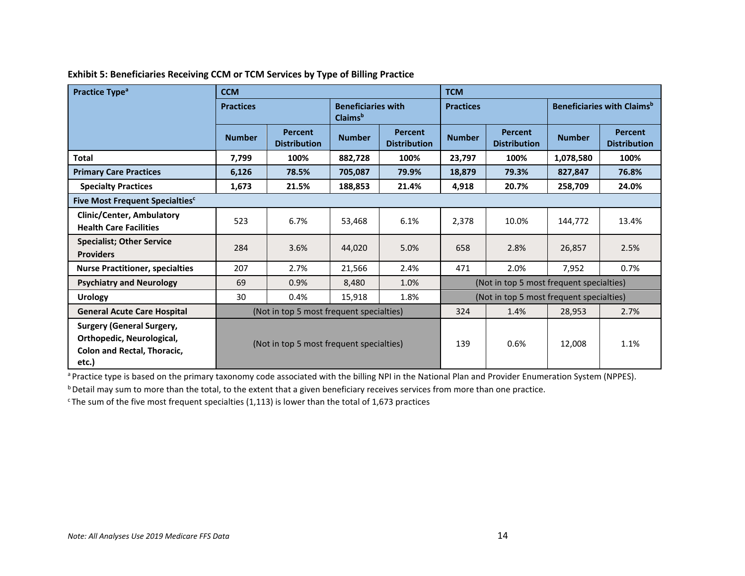| Practice Type <sup>a</sup>                                                                                   | <b>CCM</b>       |                                          |                                                  |                                       | <b>TCM</b>       |                                          |               |                                               |  |
|--------------------------------------------------------------------------------------------------------------|------------------|------------------------------------------|--------------------------------------------------|---------------------------------------|------------------|------------------------------------------|---------------|-----------------------------------------------|--|
|                                                                                                              | <b>Practices</b> |                                          | <b>Beneficiaries with</b><br>Claims <sup>b</sup> |                                       | <b>Practices</b> |                                          |               | <b>Beneficiaries with Claims</b> <sup>b</sup> |  |
|                                                                                                              | <b>Number</b>    | <b>Percent</b><br><b>Distribution</b>    | <b>Number</b>                                    | <b>Percent</b><br><b>Distribution</b> | <b>Number</b>    | <b>Percent</b><br><b>Distribution</b>    | <b>Number</b> | <b>Percent</b><br><b>Distribution</b>         |  |
| <b>Total</b>                                                                                                 | 7,799            | 100%                                     | 882,728                                          | 100%                                  | 23,797           | 100%                                     | 1,078,580     | 100%                                          |  |
| <b>Primary Care Practices</b>                                                                                | 6,126            | 78.5%                                    | 705,087                                          | 79.9%                                 | 18,879           | 79.3%                                    | 827,847       | 76.8%                                         |  |
| <b>Specialty Practices</b>                                                                                   | 1,673            | 21.5%                                    | 188,853                                          | 21.4%                                 | 4,918            | 20.7%                                    | 258,709       | 24.0%                                         |  |
| Five Most Frequent Specialties <sup>c</sup>                                                                  |                  |                                          |                                                  |                                       |                  |                                          |               |                                               |  |
| <b>Clinic/Center, Ambulatory</b><br><b>Health Care Facilities</b>                                            | 523              | 6.7%                                     | 53,468                                           | 6.1%                                  | 2,378            | 10.0%                                    | 144.772       | 13.4%                                         |  |
| <b>Specialist; Other Service</b><br><b>Providers</b>                                                         | 284              | 3.6%                                     | 44,020                                           | 5.0%                                  | 658              | 2.8%                                     | 26,857        | 2.5%                                          |  |
| <b>Nurse Practitioner, specialties</b>                                                                       | 207              | 2.7%                                     | 21,566                                           | 2.4%                                  | 471              | 2.0%                                     | 7,952         | 0.7%                                          |  |
| <b>Psychiatry and Neurology</b>                                                                              | 69               | 0.9%                                     | 8,480                                            | 1.0%                                  |                  | (Not in top 5 most frequent specialties) |               |                                               |  |
| <b>Urology</b>                                                                                               | 30               | 0.4%                                     | 15,918                                           | 1.8%                                  |                  | (Not in top 5 most frequent specialties) |               |                                               |  |
| <b>General Acute Care Hospital</b>                                                                           |                  | (Not in top 5 most frequent specialties) |                                                  |                                       | 324              | 1.4%                                     | 28,953        | 2.7%                                          |  |
| <b>Surgery (General Surgery,</b><br>Orthopedic, Neurological,<br><b>Colon and Rectal, Thoracic,</b><br>etc.) |                  | (Not in top 5 most frequent specialties) |                                                  |                                       | 139              | 0.6%                                     | 12,008        | 1.1%                                          |  |

#### **Exhibit 5: Beneficiaries Receiving CCM or TCM Services by Type of Billing Practice**

a Practice type is based on the primary taxonomy code associated with the billing NPI in the National Plan and Provider Enumeration System (NPPES).

b Detail may sum to more than the total, to the extent that a given beneficiary receives services from more than one practice.

 $c$  The sum of the five most frequent specialties (1,113) is lower than the total of 1,673 practices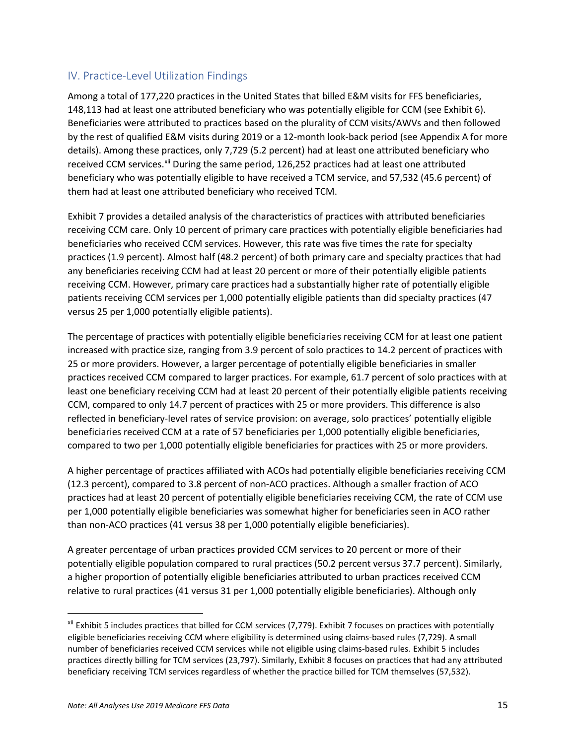#### <span id="page-14-0"></span>IV. Practice-Level Utilization Findings

Among a total of 177,220 practices in the United States that billed E&M visits for FFS beneficiaries, 148,113 had at least one attributed beneficiary who was potentially eligible for CCM (see Exhibit 6). Beneficiaries were attributed to practices based on the plurality of CCM visits/AWVs and then followed by the rest of qualified E&M visits during 2019 or a 12-month look-back period (see Appendix A for more details). Among these practices, only 7,729 (5.2 percent) had at least one attributed beneficiary who received CCM services. Xil During the same period, 126,252 practices had at least one attributed beneficiary who was potentially eligible to have received a TCM service, and 57,532 (45.6 percent) of them had at least one attributed beneficiary who received TCM.

Exhibit 7 provides a detailed analysis of the characteristics of practices with attributed beneficiaries receiving CCM care. Only 10 percent of primary care practices with potentially eligible beneficiaries had beneficiaries who received CCM services. However, this rate was five times the rate for specialty practices (1.9 percent). Almost half (48.2 percent) of both primary care and specialty practices that had any beneficiaries receiving CCM had at least 20 percent or more of their potentially eligible patients receiving CCM. However, primary care practices had a substantially higher rate of potentially eligible patients receiving CCM services per 1,000 potentially eligible patients than did specialty practices (47 versus 25 per 1,000 potentially eligible patients).

The percentage of practices with potentially eligible beneficiaries receiving CCM for at least one patient increased with practice size, ranging from 3.9 percent of solo practices to 14.2 percent of practices with 25 or more providers. However, a larger percentage of potentially eligible beneficiaries in smaller practices received CCM compared to larger practices. For example, 61.7 percent of solo practices with at least one beneficiary receiving CCM had at least 20 percent of their potentially eligible patients receiving CCM, compared to only 14.7 percent of practices with 25 or more providers. This difference is also reflected in beneficiary-level rates of service provision: on average, solo practices' potentially eligible beneficiaries received CCM at a rate of 57 beneficiaries per 1,000 potentially eligible beneficiaries, compared to two per 1,000 potentially eligible beneficiaries for practices with 25 or more providers.

A higher percentage of practices affiliated with ACOs had potentially eligible beneficiaries receiving CCM (12.3 percent), compared to 3.8 percent of non-ACO practices. Although a smaller fraction of ACO practices had at least 20 percent of potentially eligible beneficiaries receiving CCM, the rate of CCM use per 1,000 potentially eligible beneficiaries was somewhat higher for beneficiaries seen in ACO rather than non-ACO practices (41 versus 38 per 1,000 potentially eligible beneficiaries).

A greater percentage of urban practices provided CCM services to 20 percent or more of their potentially eligible population compared to rural practices (50.2 percent versus 37.7 percent). Similarly, a higher proportion of potentially eligible beneficiaries attributed to urban practices received CCM relative to rural practices (41 versus 31 per 1,000 potentially eligible beneficiaries). Although only

<span id="page-14-1"></span>xii Exhibit 5 includes practices that billed for CCM services (7,779). Exhibit 7 focuses on practices with potentially eligible beneficiaries receiving CCM where eligibility is determined using claims-based rules (7,729). A small number of beneficiaries received CCM services while not eligible using claims-based rules. Exhibit 5 includes practices directly billing for TCM services (23,797). Similarly, Exhibit 8 focuses on practices that had any attributed beneficiary receiving TCM services regardless of whether the practice billed for TCM themselves (57,532).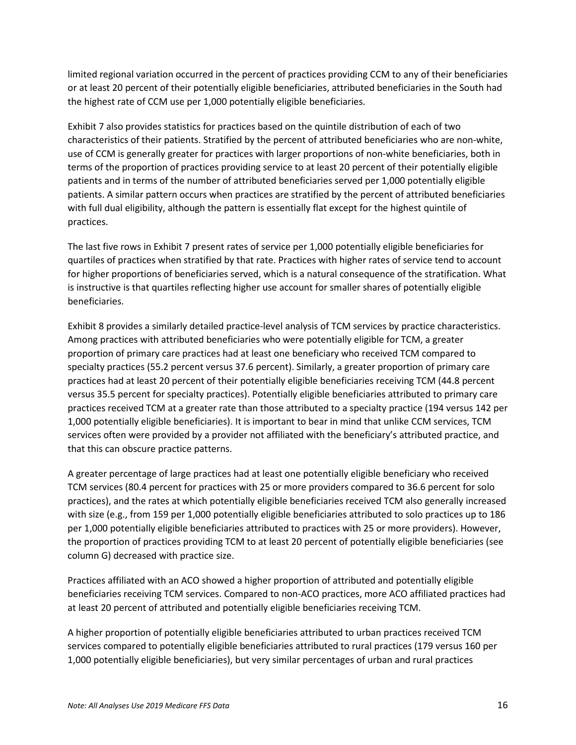limited regional variation occurred in the percent of practices providing CCM to any of their beneficiaries or at least 20 percent of their potentially eligible beneficiaries, attributed beneficiaries in the South had the highest rate of CCM use per 1,000 potentially eligible beneficiaries.

Exhibit 7 also provides statistics for practices based on the quintile distribution of each of two characteristics of their patients. Stratified by the percent of attributed beneficiaries who are non-white, use of CCM is generally greater for practices with larger proportions of non-white beneficiaries, both in terms of the proportion of practices providing service to at least 20 percent of their potentially eligible patients and in terms of the number of attributed beneficiaries served per 1,000 potentially eligible patients. A similar pattern occurs when practices are stratified by the percent of attributed beneficiaries with full dual eligibility, although the pattern is essentially flat except for the highest quintile of practices.

The last five rows in Exhibit 7 present rates of service per 1,000 potentially eligible beneficiaries for quartiles of practices when stratified by that rate. Practices with higher rates of service tend to account for higher proportions of beneficiaries served, which is a natural consequence of the stratification. What is instructive is that quartiles reflecting higher use account for smaller shares of potentially eligible beneficiaries.

Exhibit 8 provides a similarly detailed practice-level analysis of TCM services by practice characteristics. Among practices with attributed beneficiaries who were potentially eligible for TCM, a greater proportion of primary care practices had at least one beneficiary who received TCM compared to specialty practices (55.2 percent versus 37.6 percent). Similarly, a greater proportion of primary care practices had at least 20 percent of their potentially eligible beneficiaries receiving TCM (44.8 percent versus 35.5 percent for specialty practices). Potentially eligible beneficiaries attributed to primary care practices received TCM at a greater rate than those attributed to a specialty practice (194 versus 142 per 1,000 potentially eligible beneficiaries). It is important to bear in mind that unlike CCM services, TCM services often were provided by a provider not affiliated with the beneficiary's attributed practice, and that this can obscure practice patterns.

A greater percentage of large practices had at least one potentially eligible beneficiary who received TCM services (80.4 percent for practices with 25 or more providers compared to 36.6 percent for solo practices), and the rates at which potentially eligible beneficiaries received TCM also generally increased with size (e.g., from 159 per 1,000 potentially eligible beneficiaries attributed to solo practices up to 186 per 1,000 potentially eligible beneficiaries attributed to practices with 25 or more providers). However, the proportion of practices providing TCM to at least 20 percent of potentially eligible beneficiaries (see column G) decreased with practice size.

Practices affiliated with an ACO showed a higher proportion of attributed and potentially eligible beneficiaries receiving TCM services. Compared to non-ACO practices, more ACO affiliated practices had at least 20 percent of attributed and potentially eligible beneficiaries receiving TCM.

A higher proportion of potentially eligible beneficiaries attributed to urban practices received TCM services compared to potentially eligible beneficiaries attributed to rural practices (179 versus 160 per 1,000 potentially eligible beneficiaries), but very similar percentages of urban and rural practices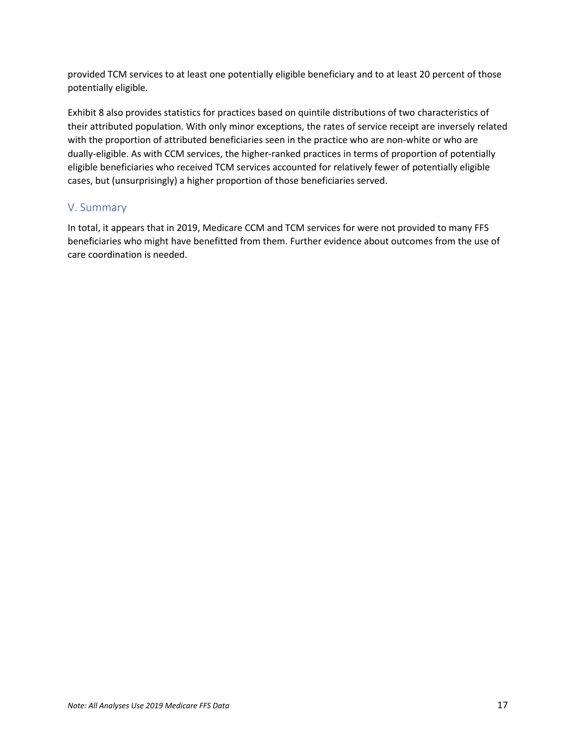provided TCM services to at least one potentially eligible beneficiary and to at least 20 percent of those potentially eligible.

Exhibit 8 also provides statistics for practices based on quintile distributions of two characteristics of their attributed population. With only minor exceptions, the rates of service receipt are inversely related with the proportion of attributed beneficiaries seen in the practice who are non-white or who are dually-eligible. As with CCM services, the higher-ranked practices in terms of proportion of potentially eligible beneficiaries who received TCM services accounted for relatively fewer of potentially eligible cases, but (unsurprisingly) a higher proportion of those beneficiaries served.

#### <span id="page-16-0"></span>V. Summary

In total, it appears that in 2019, Medicare CCM and TCM services for were not provided to many FFS beneficiaries who might have benefitted from them. Further evidence about outcomes from the use of care coordination is needed.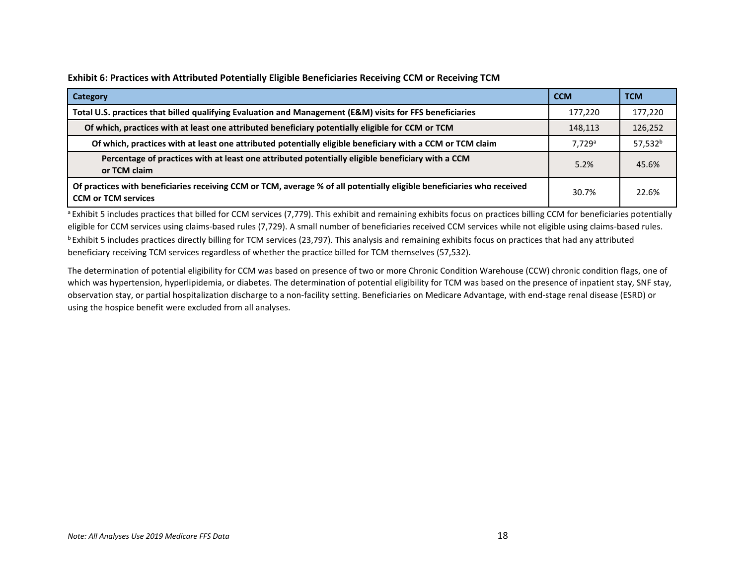**Exhibit 6: Practices with Attributed Potentially Eligible Beneficiaries Receiving CCM or Receiving TCM**

| Category                                                                                                                                             | <b>CCM</b> | <b>TCM</b>          |
|------------------------------------------------------------------------------------------------------------------------------------------------------|------------|---------------------|
| Total U.S. practices that billed qualifying Evaluation and Management (E&M) visits for FFS beneficiaries                                             | 177,220    | 177,220             |
| Of which, practices with at least one attributed beneficiary potentially eligible for CCM or TCM                                                     | 148,113    | 126,252             |
| Of which, practices with at least one attributed potentially eligible beneficiary with a CCM or TCM claim                                            | 7.729a     | 57,532 <sup>b</sup> |
| Percentage of practices with at least one attributed potentially eligible beneficiary with a CCM<br>or TCM claim                                     | 5.2%       | 45.6%               |
| Of practices with beneficiaries receiving CCM or TCM, average % of all potentially eligible beneficiaries who received<br><b>CCM or TCM services</b> | 30.7%      | 22.6%               |

<sup>a</sup> Exhibit 5 includes practices that billed for CCM services (7,779). This exhibit and remaining exhibits focus on practices billing CCM for beneficiaries potentially eligible for CCM services using claims-based rules (7,729). A small number of beneficiaries received CCM services while not eligible using claims-based rules.  $b$  Exhibit 5 includes practices directly billing for TCM services (23,797). This analysis and remaining exhibits focus on practices that had any attributed beneficiary receiving TCM services regardless of whether the practice billed for TCM themselves (57,532).

The determination of potential eligibility for CCM was based on presence of two or more Chronic Condition Warehouse (CCW) chronic condition flags, one of which was hypertension, hyperlipidemia, or diabetes. The determination of potential eligibility for TCM was based on the presence of inpatient stay, SNF stay, observation stay, or partial hospitalization discharge to a non-facility setting. Beneficiaries on Medicare Advantage, with end-stage renal disease (ESRD) or using the hospice benefit were excluded from all analyses.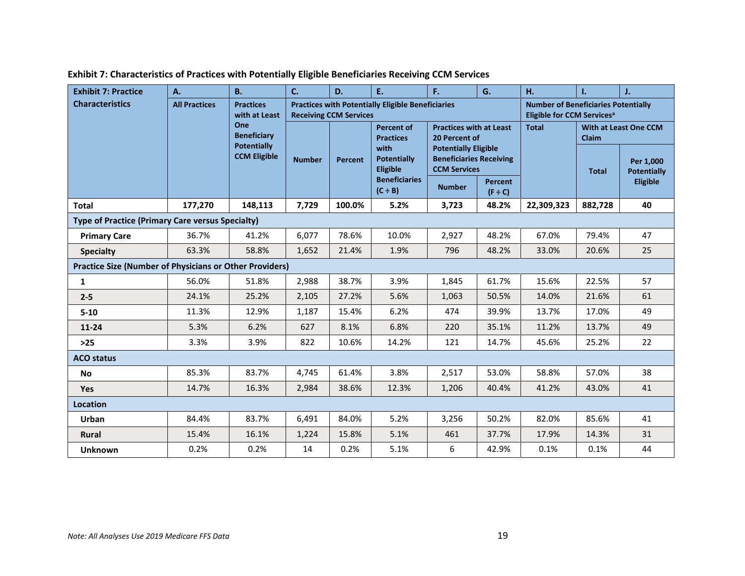| <b>Exhibit 7: Practice</b>                                     | A.                   | <b>B.</b>                                       | C.            | D.                            | E.                                                       | F.                                                                                   | G.                             | н.                                                                                   | ı.                                           | J.                              |  |
|----------------------------------------------------------------|----------------------|-------------------------------------------------|---------------|-------------------------------|----------------------------------------------------------|--------------------------------------------------------------------------------------|--------------------------------|--------------------------------------------------------------------------------------|----------------------------------------------|---------------------------------|--|
| <b>Characteristics</b>                                         | <b>All Practices</b> | <b>Practices</b><br>with at Least               |               | <b>Receiving CCM Services</b> | <b>Practices with Potentially Eligible Beneficiaries</b> |                                                                                      |                                | <b>Number of Beneficiaries Potentially</b><br>Eligible for CCM Services <sup>a</sup> |                                              |                                 |  |
|                                                                |                      | One<br><b>Beneficiary</b><br><b>Potentially</b> |               |                               | <b>Percent of</b><br><b>Practices</b>                    | <b>Practices with at Least</b><br>20 Percent of                                      |                                | <b>Total</b>                                                                         | <b>With at Least One CCM</b><br><b>Claim</b> |                                 |  |
|                                                                |                      | <b>CCM Eligible</b>                             | <b>Number</b> | <b>Percent</b>                | with<br><b>Potentially</b><br><b>Eligible</b>            | <b>Potentially Eligible</b><br><b>Beneficiaries Receiving</b><br><b>CCM Services</b> |                                |                                                                                      | <b>Total</b>                                 | Per 1,000<br><b>Potentially</b> |  |
|                                                                |                      |                                                 |               |                               | <b>Beneficiaries</b><br>$(C \div B)$                     | <b>Number</b>                                                                        | <b>Percent</b><br>$(F \div C)$ |                                                                                      |                                              | Eligible                        |  |
| <b>Total</b>                                                   | 177,270              | 148,113                                         | 7,729         | 100.0%                        | 5.2%                                                     | 3,723                                                                                | 48.2%                          | 22,309,323                                                                           | 882,728                                      | 40                              |  |
| <b>Type of Practice (Primary Care versus Specialty)</b>        |                      |                                                 |               |                               |                                                          |                                                                                      |                                |                                                                                      |                                              |                                 |  |
| <b>Primary Care</b>                                            | 36.7%                | 41.2%                                           | 6,077         | 78.6%                         | 10.0%                                                    | 2,927                                                                                | 48.2%                          | 67.0%                                                                                | 79.4%                                        | 47                              |  |
| <b>Specialty</b>                                               | 63.3%                | 58.8%                                           | 1,652         | 21.4%                         | 1.9%                                                     | 796                                                                                  | 48.2%                          | 33.0%                                                                                | 20.6%                                        | 25                              |  |
| <b>Practice Size (Number of Physicians or Other Providers)</b> |                      |                                                 |               |                               |                                                          |                                                                                      |                                |                                                                                      |                                              |                                 |  |
| $\mathbf{1}$                                                   | 56.0%                | 51.8%                                           | 2,988         | 38.7%                         | 3.9%                                                     | 1,845                                                                                | 61.7%                          | 15.6%                                                                                | 22.5%                                        | 57                              |  |
| $2 - 5$                                                        | 24.1%                | 25.2%                                           | 2,105         | 27.2%                         | 5.6%                                                     | 1,063                                                                                | 50.5%                          | 14.0%                                                                                | 21.6%                                        | 61                              |  |
| $5 - 10$                                                       | 11.3%                | 12.9%                                           | 1,187         | 15.4%                         | 6.2%                                                     | 474                                                                                  | 39.9%                          | 13.7%                                                                                | 17.0%                                        | 49                              |  |
| $11 - 24$                                                      | 5.3%                 | 6.2%                                            | 627           | 8.1%                          | 6.8%                                                     | 220                                                                                  | 35.1%                          | 11.2%                                                                                | 13.7%                                        | 49                              |  |
| $>25$                                                          | 3.3%                 | 3.9%                                            | 822           | 10.6%                         | 14.2%                                                    | 121                                                                                  | 14.7%                          | 45.6%                                                                                | 25.2%                                        | 22                              |  |
| <b>ACO status</b>                                              |                      |                                                 |               |                               |                                                          |                                                                                      |                                |                                                                                      |                                              |                                 |  |
| No                                                             | 85.3%                | 83.7%                                           | 4,745         | 61.4%                         | 3.8%                                                     | 2,517                                                                                | 53.0%                          | 58.8%                                                                                | 57.0%                                        | 38                              |  |
| Yes                                                            | 14.7%                | 16.3%                                           | 2,984         | 38.6%                         | 12.3%                                                    | 1,206                                                                                | 40.4%                          | 41.2%                                                                                | 43.0%                                        | 41                              |  |
| <b>Location</b>                                                |                      |                                                 |               |                               |                                                          |                                                                                      |                                |                                                                                      |                                              |                                 |  |
| <b>Urban</b>                                                   | 84.4%                | 83.7%                                           | 6,491         | 84.0%                         | 5.2%                                                     | 3,256                                                                                | 50.2%                          | 82.0%                                                                                | 85.6%                                        | 41                              |  |
| <b>Rural</b>                                                   | 15.4%                | 16.1%                                           | 1,224         | 15.8%                         | 5.1%                                                     | 461                                                                                  | 37.7%                          | 17.9%                                                                                | 14.3%                                        | 31                              |  |
| <b>Unknown</b>                                                 | 0.2%                 | 0.2%                                            | 14            | 0.2%                          | 5.1%                                                     | 6                                                                                    | 42.9%                          | 0.1%                                                                                 | 0.1%                                         | 44                              |  |

**Exhibit 7: Characteristics of Practices with Potentially Eligible Beneficiaries Receiving CCM Services**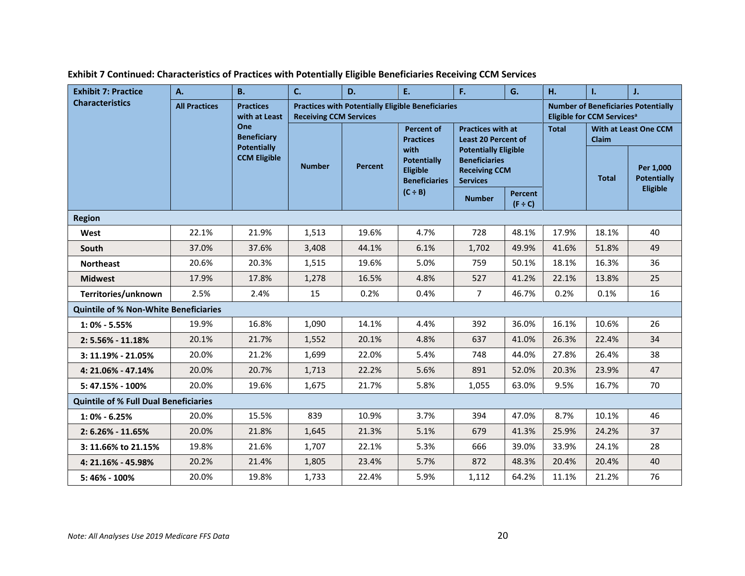| <b>Exhibit 7: Practice</b>                   | A.                   | <b>B.</b>                                 | C.                            | D.      | E.                                                             | F.                                                                                             | G.                                                     | H.    | ı.                                     | J.                                                 |
|----------------------------------------------|----------------------|-------------------------------------------|-------------------------------|---------|----------------------------------------------------------------|------------------------------------------------------------------------------------------------|--------------------------------------------------------|-------|----------------------------------------|----------------------------------------------------|
| <b>Characteristics</b>                       | <b>All Practices</b> | <b>Practices</b><br>with at Least         | <b>Receiving CCM Services</b> |         | <b>Practices with Potentially Eligible Beneficiaries</b>       |                                                                                                |                                                        |       | Eligible for CCM Services <sup>a</sup> | <b>Number of Beneficiaries Potentially</b>         |
|                                              |                      | One<br><b>Beneficiary</b>                 |                               |         | <b>Percent of</b><br><b>Practices</b>                          |                                                                                                | <b>Practices with at</b><br><b>Least 20 Percent of</b> |       | With at Least One CCM<br>Claim         |                                                    |
|                                              |                      | <b>Potentially</b><br><b>CCM Eligible</b> | <b>Number</b>                 | Percent | with<br><b>Potentially</b><br>Eligible<br><b>Beneficiaries</b> | <b>Potentially Eligible</b><br><b>Beneficiaries</b><br><b>Receiving CCM</b><br><b>Services</b> |                                                        |       | <b>Total</b>                           | Per 1,000<br><b>Potentially</b><br><b>Eligible</b> |
|                                              |                      |                                           |                               |         | $(C \div B)$                                                   | <b>Number</b>                                                                                  | <b>Percent</b><br>$(F \div C)$                         |       |                                        |                                                    |
| <b>Region</b>                                |                      |                                           |                               |         |                                                                |                                                                                                |                                                        |       |                                        |                                                    |
| West                                         | 22.1%                | 21.9%                                     | 1,513                         | 19.6%   | 4.7%                                                           | 728                                                                                            | 48.1%                                                  | 17.9% | 18.1%                                  | 40                                                 |
| <b>South</b>                                 | 37.0%                | 37.6%                                     | 3,408                         | 44.1%   | 6.1%                                                           | 1,702                                                                                          | 49.9%                                                  | 41.6% | 51.8%                                  | 49                                                 |
| <b>Northeast</b>                             | 20.6%                | 20.3%                                     | 1,515                         | 19.6%   | 5.0%                                                           | 759                                                                                            | 50.1%                                                  | 18.1% | 16.3%                                  | 36                                                 |
| <b>Midwest</b>                               | 17.9%                | 17.8%                                     | 1,278                         | 16.5%   | 4.8%                                                           | 527                                                                                            | 41.2%                                                  | 22.1% | 13.8%                                  | 25                                                 |
| Territories/unknown                          | 2.5%                 | 2.4%                                      | 15                            | 0.2%    | 0.4%                                                           | $\overline{7}$                                                                                 | 46.7%                                                  | 0.2%  | 0.1%                                   | 16                                                 |
| <b>Quintile of % Non-White Beneficiaries</b> |                      |                                           |                               |         |                                                                |                                                                                                |                                                        |       |                                        |                                                    |
| $1:0\% - 5.55\%$                             | 19.9%                | 16.8%                                     | 1,090                         | 14.1%   | 4.4%                                                           | 392                                                                                            | 36.0%                                                  | 16.1% | 10.6%                                  | 26                                                 |
| $2: 5.56\% - 11.18\%$                        | 20.1%                | 21.7%                                     | 1,552                         | 20.1%   | 4.8%                                                           | 637                                                                                            | 41.0%                                                  | 26.3% | 22.4%                                  | 34                                                 |
| $3: 11.19\% - 21.05\%$                       | 20.0%                | 21.2%                                     | 1,699                         | 22.0%   | 5.4%                                                           | 748                                                                                            | 44.0%                                                  | 27.8% | 26.4%                                  | 38                                                 |
| 4: 21.06% - 47.14%                           | 20.0%                | 20.7%                                     | 1,713                         | 22.2%   | 5.6%                                                           | 891                                                                                            | 52.0%                                                  | 20.3% | 23.9%                                  | 47                                                 |
| 5: 47.15% - 100%                             | 20.0%                | 19.6%                                     | 1,675                         | 21.7%   | 5.8%                                                           | 1,055                                                                                          | 63.0%                                                  | 9.5%  | 16.7%                                  | 70                                                 |
| <b>Quintile of % Full Dual Beneficiaries</b> |                      |                                           |                               |         |                                                                |                                                                                                |                                                        |       |                                        |                                                    |
| $1:0\% - 6.25\%$                             | 20.0%                | 15.5%                                     | 839                           | 10.9%   | 3.7%                                                           | 394                                                                                            | 47.0%                                                  | 8.7%  | 10.1%                                  | 46                                                 |
| $2: 6.26\% - 11.65\%$                        | 20.0%                | 21.8%                                     | 1,645                         | 21.3%   | 5.1%                                                           | 679                                                                                            | 41.3%                                                  | 25.9% | 24.2%                                  | 37                                                 |
| 3: 11.66% to 21.15%                          | 19.8%                | 21.6%                                     | 1,707                         | 22.1%   | 5.3%                                                           | 666                                                                                            | 39.0%                                                  | 33.9% | 24.1%                                  | 28                                                 |
| 4: 21.16% - 45.98%                           | 20.2%                | 21.4%                                     | 1,805                         | 23.4%   | 5.7%                                                           | 872                                                                                            | 48.3%                                                  | 20.4% | 20.4%                                  | 40                                                 |
| 5:46% - 100%                                 | 20.0%                | 19.8%                                     | 1,733                         | 22.4%   | 5.9%                                                           | 1,112                                                                                          | 64.2%                                                  | 11.1% | 21.2%                                  | 76                                                 |

#### **Exhibit 7 Continued: Characteristics of Practices with Potentially Eligible Beneficiaries Receiving CCM Services**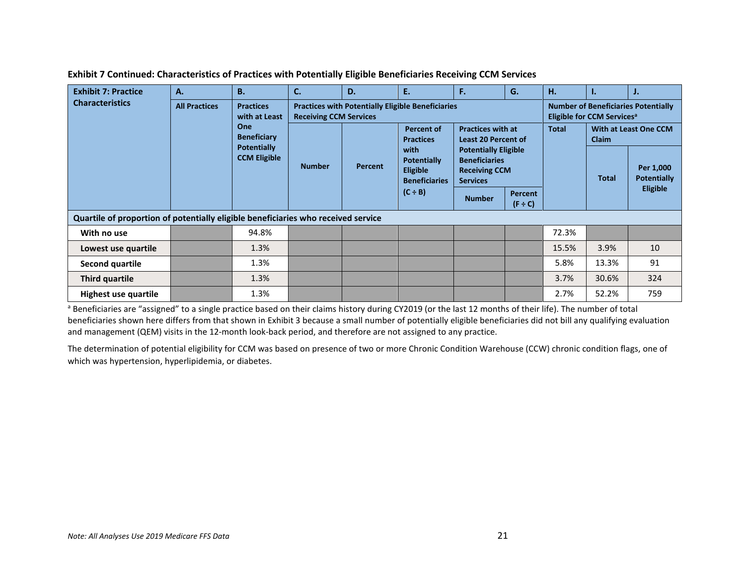| <b>Exhibit 7: Practice</b>                                                        | A.                                                                                                                                  | <b>B.</b>     | C. | D.                                                                                                                                                                                | E.                                                                                                               | F.                                                                                             | G. | н.           | ъ.                                    | J.           |                                 |
|-----------------------------------------------------------------------------------|-------------------------------------------------------------------------------------------------------------------------------------|---------------|----|-----------------------------------------------------------------------------------------------------------------------------------------------------------------------------------|------------------------------------------------------------------------------------------------------------------|------------------------------------------------------------------------------------------------|----|--------------|---------------------------------------|--------------|---------------------------------|
| <b>Characteristics</b>                                                            | <b>All Practices</b><br><b>Practices</b><br>with at Least<br>One<br><b>Beneficiary</b><br><b>Potentially</b><br><b>CCM Eligible</b> | <b>Number</b> |    | <b>Practices with Potentially Eligible Beneficiaries</b><br><b>Number of Beneficiaries Potentially</b><br><b>Receiving CCM Services</b><br>Eligible for CCM Services <sup>a</sup> |                                                                                                                  |                                                                                                |    |              |                                       |              |                                 |
|                                                                                   |                                                                                                                                     |               |    |                                                                                                                                                                                   | Percent of<br><b>Practices</b><br>with<br>Potentially<br><b>Eligible</b><br><b>Beneficiaries</b><br>$(C \div B)$ | <b>Practices with at</b><br><b>Least 20 Percent of</b>                                         |    | <b>Total</b> | With at Least One CCM<br><b>Claim</b> |              |                                 |
|                                                                                   |                                                                                                                                     |               |    | Percent                                                                                                                                                                           |                                                                                                                  | <b>Potentially Eligible</b><br><b>Beneficiaries</b><br><b>Receiving CCM</b><br><b>Services</b> |    |              |                                       | <b>Total</b> | Per 1,000<br><b>Potentially</b> |
|                                                                                   |                                                                                                                                     |               |    |                                                                                                                                                                                   | <b>Number</b>                                                                                                    | <b>Percent</b><br>$(F \div C)$                                                                 |    |              | <b>Eligible</b>                       |              |                                 |
| Quartile of proportion of potentially eligible beneficiaries who received service |                                                                                                                                     |               |    |                                                                                                                                                                                   |                                                                                                                  |                                                                                                |    |              |                                       |              |                                 |
| With no use                                                                       |                                                                                                                                     | 94.8%         |    |                                                                                                                                                                                   |                                                                                                                  |                                                                                                |    | 72.3%        |                                       |              |                                 |
| Lowest use quartile                                                               |                                                                                                                                     | 1.3%          |    |                                                                                                                                                                                   |                                                                                                                  |                                                                                                |    | 15.5%        | 3.9%                                  | 10           |                                 |
| <b>Second quartile</b>                                                            |                                                                                                                                     | 1.3%          |    |                                                                                                                                                                                   |                                                                                                                  |                                                                                                |    | 5.8%         | 13.3%                                 | 91           |                                 |
| Third quartile                                                                    |                                                                                                                                     | 1.3%          |    |                                                                                                                                                                                   |                                                                                                                  |                                                                                                |    | 3.7%         | 30.6%                                 | 324          |                                 |
| Highest use quartile                                                              |                                                                                                                                     | 1.3%          |    |                                                                                                                                                                                   |                                                                                                                  |                                                                                                |    | 2.7%         | 52.2%                                 | 759          |                                 |

**Exhibit 7 Continued: Characteristics of Practices with Potentially Eligible Beneficiaries Receiving CCM Services**

a Beneficiaries are "assigned" to a single practice based on their claims history during CY2019 (or the last 12 months of their life). The number of total beneficiaries shown here differs from that shown in Exhibit 3 because a small number of potentially eligible beneficiaries did not bill any qualifying evaluation and management (QEM) visits in the 12-month look-back period, and therefore are not assigned to any practice.

The determination of potential eligibility for CCM was based on presence of two or more Chronic Condition Warehouse (CCW) chronic condition flags, one of which was hypertension, hyperlipidemia, or diabetes.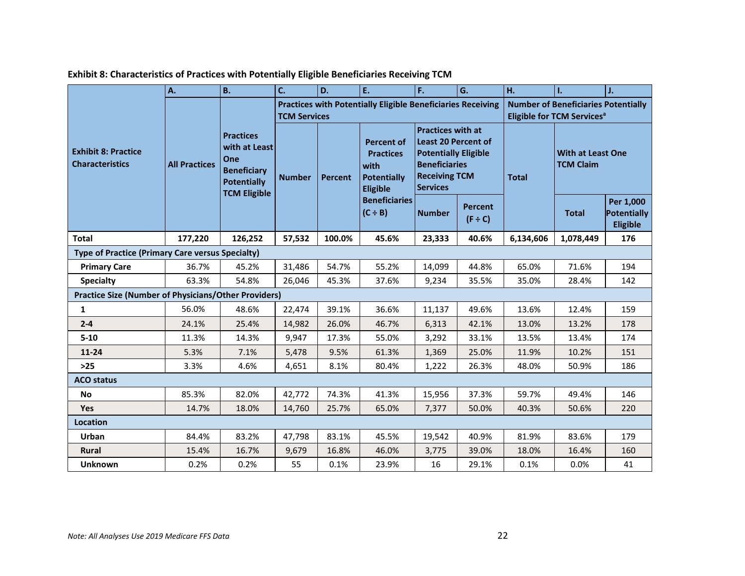|                                                             | A.                   | <b>B.</b>                                                                                            | C.                  | D.             | E.                                                                                                                      | F.                                                                                                                                                       | G.                             | H.           | 1.                                                                                         | J.                                          |  |
|-------------------------------------------------------------|----------------------|------------------------------------------------------------------------------------------------------|---------------------|----------------|-------------------------------------------------------------------------------------------------------------------------|----------------------------------------------------------------------------------------------------------------------------------------------------------|--------------------------------|--------------|--------------------------------------------------------------------------------------------|---------------------------------------------|--|
|                                                             |                      | <b>Practices</b><br>with at Least<br>One<br><b>Beneficiary</b><br>Potentially<br><b>TCM Eligible</b> | <b>TCM Services</b> |                | <b>Practices with Potentially Eligible Beneficiaries Receiving</b>                                                      |                                                                                                                                                          |                                |              | <b>Number of Beneficiaries Potentially</b><br><b>Eligible for TCM Services<sup>a</sup></b> |                                             |  |
| <b>Exhibit 8: Practice</b><br><b>Characteristics</b>        | <b>All Practices</b> |                                                                                                      | <b>Number</b>       | <b>Percent</b> | <b>Percent of</b><br><b>Practices</b><br>with<br>Potentially<br><b>Eligible</b><br><b>Beneficiaries</b><br>$(C \div B)$ | <b>Practices with at</b><br><b>Least 20 Percent of</b><br><b>Potentially Eligible</b><br><b>Beneficiaries</b><br><b>Receiving TCM</b><br><b>Services</b> |                                | <b>Total</b> | <b>With at Least One</b><br><b>TCM Claim</b>                                               |                                             |  |
|                                                             |                      |                                                                                                      |                     |                |                                                                                                                         | <b>Number</b>                                                                                                                                            | <b>Percent</b><br>$(F \div C)$ |              | <b>Total</b>                                                                               | Per 1,000<br>Potentially<br><b>Eligible</b> |  |
| <b>Total</b>                                                | 177,220              | 126,252                                                                                              | 57,532              | 100.0%         | 45.6%                                                                                                                   | 23,333                                                                                                                                                   | 40.6%                          | 6,134,606    | 1,078,449                                                                                  | 176                                         |  |
| <b>Type of Practice (Primary Care versus Specialty)</b>     |                      |                                                                                                      |                     |                |                                                                                                                         |                                                                                                                                                          |                                |              |                                                                                            |                                             |  |
| <b>Primary Care</b>                                         | 36.7%                | 45.2%                                                                                                | 31,486              | 54.7%          | 55.2%                                                                                                                   | 14,099                                                                                                                                                   | 44.8%                          | 65.0%        | 71.6%                                                                                      | 194                                         |  |
| <b>Specialty</b>                                            | 63.3%                | 54.8%                                                                                                | 26,046              | 45.3%          | 37.6%                                                                                                                   | 9,234                                                                                                                                                    | 35.5%                          | 35.0%        | 28.4%                                                                                      | 142                                         |  |
| <b>Practice Size (Number of Physicians/Other Providers)</b> |                      |                                                                                                      |                     |                |                                                                                                                         |                                                                                                                                                          |                                |              |                                                                                            |                                             |  |
| 1                                                           | 56.0%                | 48.6%                                                                                                | 22,474              | 39.1%          | 36.6%                                                                                                                   | 11,137                                                                                                                                                   | 49.6%                          | 13.6%        | 12.4%                                                                                      | 159                                         |  |
| $2 - 4$                                                     | 24.1%                | 25.4%                                                                                                | 14,982              | 26.0%          | 46.7%                                                                                                                   | 6,313                                                                                                                                                    | 42.1%                          | 13.0%        | 13.2%                                                                                      | 178                                         |  |
| $5 - 10$                                                    | 11.3%                | 14.3%                                                                                                | 9,947               | 17.3%          | 55.0%                                                                                                                   | 3,292                                                                                                                                                    | 33.1%                          | 13.5%        | 13.4%                                                                                      | 174                                         |  |
| $11 - 24$                                                   | 5.3%                 | 7.1%                                                                                                 | 5,478               | 9.5%           | 61.3%                                                                                                                   | 1,369                                                                                                                                                    | 25.0%                          | 11.9%        | 10.2%                                                                                      | 151                                         |  |
| $>25$                                                       | 3.3%                 | 4.6%                                                                                                 | 4,651               | 8.1%           | 80.4%                                                                                                                   | 1,222                                                                                                                                                    | 26.3%                          | 48.0%        | 50.9%                                                                                      | 186                                         |  |
| <b>ACO status</b>                                           |                      |                                                                                                      |                     |                |                                                                                                                         |                                                                                                                                                          |                                |              |                                                                                            |                                             |  |
| <b>No</b>                                                   | 85.3%                | 82.0%                                                                                                | 42,772              | 74.3%          | 41.3%                                                                                                                   | 15,956                                                                                                                                                   | 37.3%                          | 59.7%        | 49.4%                                                                                      | 146                                         |  |
| <b>Yes</b>                                                  | 14.7%                | 18.0%                                                                                                | 14,760              | 25.7%          | 65.0%                                                                                                                   | 7,377                                                                                                                                                    | 50.0%                          | 40.3%        | 50.6%                                                                                      | 220                                         |  |
| Location                                                    |                      |                                                                                                      |                     |                |                                                                                                                         |                                                                                                                                                          |                                |              |                                                                                            |                                             |  |
| Urban                                                       | 84.4%                | 83.2%                                                                                                | 47,798              | 83.1%          | 45.5%                                                                                                                   | 19,542                                                                                                                                                   | 40.9%                          | 81.9%        | 83.6%                                                                                      | 179                                         |  |
| Rural                                                       | 15.4%                | 16.7%                                                                                                | 9,679               | 16.8%          | 46.0%                                                                                                                   | 3,775                                                                                                                                                    | 39.0%                          | 18.0%        | 16.4%                                                                                      | 160                                         |  |
| <b>Unknown</b>                                              | 0.2%                 | 0.2%                                                                                                 | 55                  | 0.1%           | 23.9%                                                                                                                   | 16                                                                                                                                                       | 29.1%                          | 0.1%         | 0.0%                                                                                       | 41                                          |  |

**Exhibit 8: Characteristics of Practices with Potentially Eligible Beneficiaries Receiving TCM**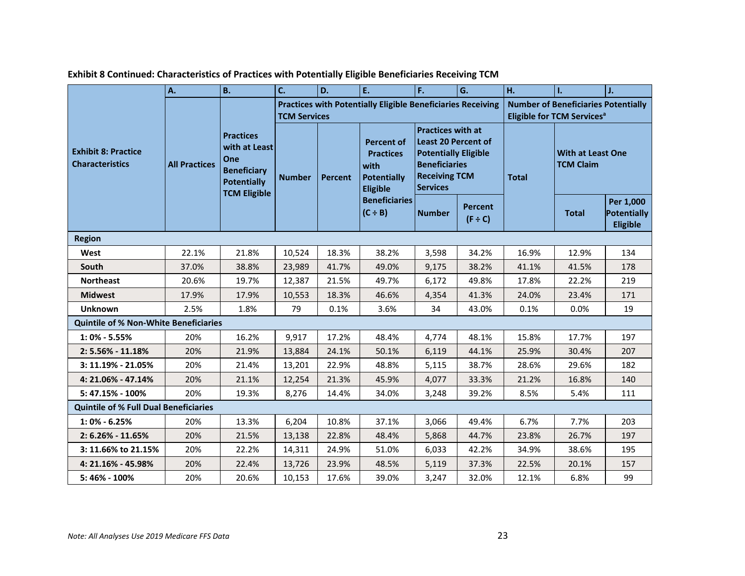|                                                      | A.                   | <b>B.</b>                                                                                                   | C.                                                                                        | D.             | E.                                                                              | F.                                                                                                                                                       | G.                             | H.                                                                                   | $\mathbf{L}$                                 | J.                                          |
|------------------------------------------------------|----------------------|-------------------------------------------------------------------------------------------------------------|-------------------------------------------------------------------------------------------|----------------|---------------------------------------------------------------------------------|----------------------------------------------------------------------------------------------------------------------------------------------------------|--------------------------------|--------------------------------------------------------------------------------------|----------------------------------------------|---------------------------------------------|
|                                                      |                      |                                                                                                             | <b>Practices with Potentially Eligible Beneficiaries Receiving</b><br><b>TCM Services</b> |                |                                                                                 |                                                                                                                                                          |                                | <b>Number of Beneficiaries Potentially</b><br>Eligible for TCM Services <sup>a</sup> |                                              |                                             |
| <b>Exhibit 8: Practice</b><br><b>Characteristics</b> | <b>All Practices</b> | <b>Practices</b><br>with at Least<br>One<br><b>Beneficiary</b><br><b>Potentially</b><br><b>TCM Eligible</b> | <b>Number</b>                                                                             | <b>Percent</b> | <b>Percent of</b><br><b>Practices</b><br>with<br><b>Potentially</b><br>Eligible | <b>Practices with at</b><br><b>Least 20 Percent of</b><br><b>Potentially Eligible</b><br><b>Beneficiaries</b><br><b>Receiving TCM</b><br><b>Services</b> |                                | <b>Total</b>                                                                         | <b>With at Least One</b><br><b>TCM Claim</b> |                                             |
|                                                      |                      |                                                                                                             |                                                                                           |                | <b>Beneficiaries</b><br>$(C \div B)$                                            | <b>Number</b>                                                                                                                                            | <b>Percent</b><br>$(F \div C)$ |                                                                                      | <b>Total</b>                                 | Per 1,000<br>Potentially<br><b>Eligible</b> |
| <b>Region</b>                                        |                      |                                                                                                             |                                                                                           |                |                                                                                 |                                                                                                                                                          |                                |                                                                                      |                                              |                                             |
| West                                                 | 22.1%                | 21.8%                                                                                                       | 10,524                                                                                    | 18.3%          | 38.2%                                                                           | 3,598                                                                                                                                                    | 34.2%                          | 16.9%                                                                                | 12.9%                                        | 134                                         |
| South                                                | 37.0%                | 38.8%                                                                                                       | 23,989                                                                                    | 41.7%          | 49.0%                                                                           | 9,175                                                                                                                                                    | 38.2%                          | 41.1%                                                                                | 41.5%                                        | 178                                         |
| <b>Northeast</b>                                     | 20.6%                | 19.7%                                                                                                       | 12,387                                                                                    | 21.5%          | 49.7%                                                                           | 6,172                                                                                                                                                    | 49.8%                          | 17.8%                                                                                | 22.2%                                        | 219                                         |
| <b>Midwest</b>                                       | 17.9%                | 17.9%                                                                                                       | 10,553                                                                                    | 18.3%          | 46.6%                                                                           | 4,354                                                                                                                                                    | 41.3%                          | 24.0%                                                                                | 23.4%                                        | 171                                         |
| <b>Unknown</b>                                       | 2.5%                 | 1.8%                                                                                                        | 79                                                                                        | 0.1%           | 3.6%                                                                            | 34                                                                                                                                                       | 43.0%                          | 0.1%                                                                                 | 0.0%                                         | 19                                          |
| <b>Quintile of % Non-White Beneficiaries</b>         |                      |                                                                                                             |                                                                                           |                |                                                                                 |                                                                                                                                                          |                                |                                                                                      |                                              |                                             |
| $1:0\% - 5.55\%$                                     | 20%                  | 16.2%                                                                                                       | 9,917                                                                                     | 17.2%          | 48.4%                                                                           | 4,774                                                                                                                                                    | 48.1%                          | 15.8%                                                                                | 17.7%                                        | 197                                         |
| 2: 5.56% - 11.18%                                    | 20%                  | 21.9%                                                                                                       | 13,884                                                                                    | 24.1%          | 50.1%                                                                           | 6,119                                                                                                                                                    | 44.1%                          | 25.9%                                                                                | 30.4%                                        | 207                                         |
| $3: 11.19\% - 21.05\%$                               | 20%                  | 21.4%                                                                                                       | 13,201                                                                                    | 22.9%          | 48.8%                                                                           | 5,115                                                                                                                                                    | 38.7%                          | 28.6%                                                                                | 29.6%                                        | 182                                         |
| 4: 21.06% - 47.14%                                   | 20%                  | 21.1%                                                                                                       | 12,254                                                                                    | 21.3%          | 45.9%                                                                           | 4,077                                                                                                                                                    | 33.3%                          | 21.2%                                                                                | 16.8%                                        | 140                                         |
| 5: 47.15% - 100%                                     | 20%                  | 19.3%                                                                                                       | 8,276                                                                                     | 14.4%          | 34.0%                                                                           | 3,248                                                                                                                                                    | 39.2%                          | 8.5%                                                                                 | 5.4%                                         | 111                                         |
| <b>Quintile of % Full Dual Beneficiaries</b>         |                      |                                                                                                             |                                                                                           |                |                                                                                 |                                                                                                                                                          |                                |                                                                                      |                                              |                                             |
| $1:0\% - 6.25\%$                                     | 20%                  | 13.3%                                                                                                       | 6,204                                                                                     | 10.8%          | 37.1%                                                                           | 3,066                                                                                                                                                    | 49.4%                          | 6.7%                                                                                 | 7.7%                                         | 203                                         |
| $2: 6.26\% - 11.65\%$                                | 20%                  | 21.5%                                                                                                       | 13,138                                                                                    | 22.8%          | 48.4%                                                                           | 5,868                                                                                                                                                    | 44.7%                          | 23.8%                                                                                | 26.7%                                        | 197                                         |
| 3: 11.66% to 21.15%                                  | 20%                  | 22.2%                                                                                                       | 14,311                                                                                    | 24.9%          | 51.0%                                                                           | 6,033                                                                                                                                                    | 42.2%                          | 34.9%                                                                                | 38.6%                                        | 195                                         |
| 4: 21.16% - 45.98%                                   | 20%                  | 22.4%                                                                                                       | 13,726                                                                                    | 23.9%          | 48.5%                                                                           | 5,119                                                                                                                                                    | 37.3%                          | 22.5%                                                                                | 20.1%                                        | 157                                         |
| 5:46% - 100%                                         | 20%                  | 20.6%                                                                                                       | 10,153                                                                                    | 17.6%          | 39.0%                                                                           | 3,247                                                                                                                                                    | 32.0%                          | 12.1%                                                                                | 6.8%                                         | 99                                          |

**Exhibit 8 Continued: Characteristics of Practices with Potentially Eligible Beneficiaries Receiving TCM**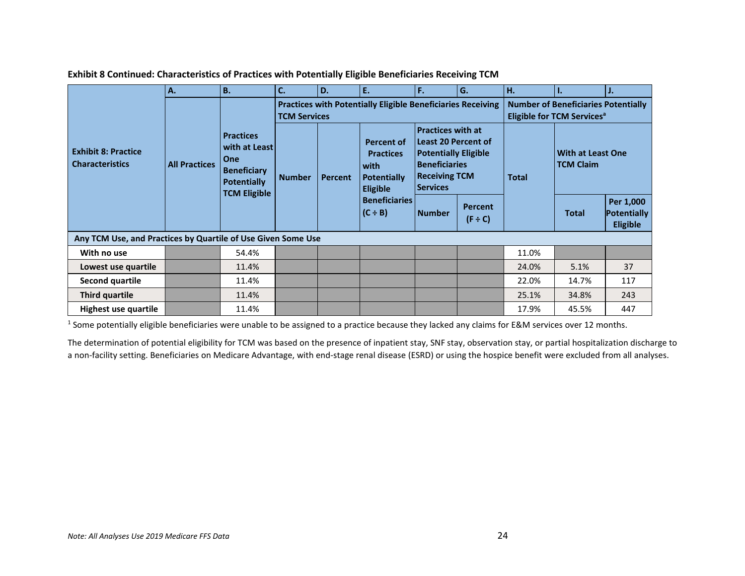|                                                              | A.                   | <b>B.</b>                                                                                                   | C.                                                                                        | D.             | E.                                                                                                               | F.                                                                                                                                                       | l G.                           | H.                                                                                   |                                       | IJ.                                         |
|--------------------------------------------------------------|----------------------|-------------------------------------------------------------------------------------------------------------|-------------------------------------------------------------------------------------------|----------------|------------------------------------------------------------------------------------------------------------------|----------------------------------------------------------------------------------------------------------------------------------------------------------|--------------------------------|--------------------------------------------------------------------------------------|---------------------------------------|---------------------------------------------|
| <b>Exhibit 8: Practice</b><br><b>Characteristics</b>         | <b>All Practices</b> | <b>Practices</b><br>with at Least<br>One<br><b>Beneficiary</b><br><b>Potentially</b><br><b>TCM Eligible</b> | <b>Practices with Potentially Eligible Beneficiaries Receiving</b><br><b>TCM Services</b> |                |                                                                                                                  |                                                                                                                                                          |                                | <b>Number of Beneficiaries Potentially</b><br>Eligible for TCM Services <sup>a</sup> |                                       |                                             |
|                                                              |                      |                                                                                                             | <b>Number</b>                                                                             | <b>Percent</b> | Percent of<br><b>Practices</b><br>with<br>Potentially<br><b>Eligible</b><br><b>Beneficiaries</b><br>$(C \div B)$ | <b>Practices with at</b><br><b>Least 20 Percent of</b><br><b>Potentially Eligible</b><br><b>Beneficiaries</b><br><b>Receiving TCM</b><br><b>Services</b> |                                | <b>Total</b>                                                                         | With at Least One<br><b>TCM Claim</b> |                                             |
|                                                              |                      |                                                                                                             |                                                                                           |                |                                                                                                                  | <b>Number</b>                                                                                                                                            | <b>Percent</b><br>$(F \div C)$ |                                                                                      | <b>Total</b>                          | Per 1,000<br>Potentially<br><b>Eligible</b> |
| Any TCM Use, and Practices by Quartile of Use Given Some Use |                      |                                                                                                             |                                                                                           |                |                                                                                                                  |                                                                                                                                                          |                                |                                                                                      |                                       |                                             |
| With no use                                                  |                      | 54.4%                                                                                                       |                                                                                           |                |                                                                                                                  |                                                                                                                                                          |                                | 11.0%                                                                                |                                       |                                             |
| Lowest use quartile                                          |                      | 11.4%                                                                                                       |                                                                                           |                |                                                                                                                  |                                                                                                                                                          |                                | 24.0%                                                                                | 5.1%                                  | 37                                          |
| Second quartile                                              |                      | 11.4%                                                                                                       |                                                                                           |                |                                                                                                                  |                                                                                                                                                          |                                | 22.0%                                                                                | 14.7%                                 | 117                                         |
| Third quartile                                               |                      | 11.4%                                                                                                       |                                                                                           |                |                                                                                                                  |                                                                                                                                                          |                                | 25.1%                                                                                | 34.8%                                 | 243                                         |
| Highest use quartile                                         |                      | 11.4%                                                                                                       |                                                                                           |                |                                                                                                                  |                                                                                                                                                          |                                | 17.9%                                                                                | 45.5%                                 | 447                                         |

**Exhibit 8 Continued: Characteristics of Practices with Potentially Eligible Beneficiaries Receiving TCM**

<sup>1</sup> Some potentially eligible beneficiaries were unable to be assigned to a practice because they lacked any claims for E&M services over 12 months.

The determination of potential eligibility for TCM was based on the presence of inpatient stay, SNF stay, observation stay, or partial hospitalization discharge to a non-facility setting. Beneficiaries on Medicare Advantage, with end-stage renal disease (ESRD) or using the hospice benefit were excluded from all analyses.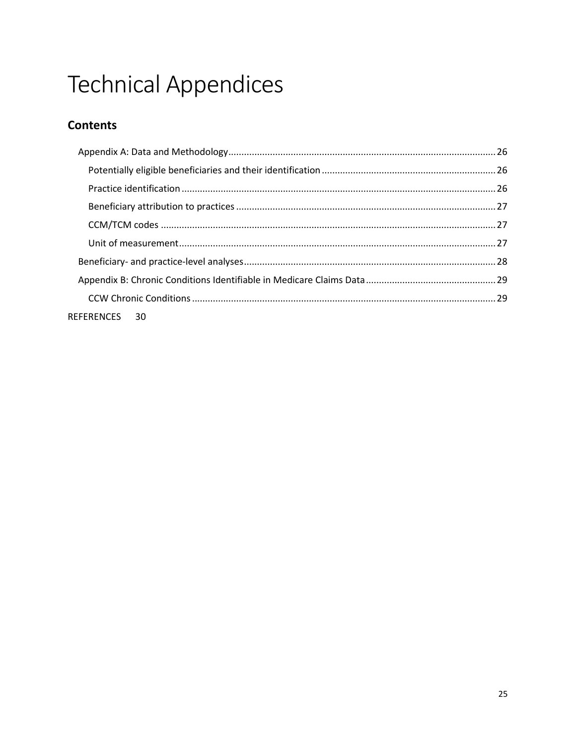# **Technical Appendices**

## **Contents**

| REFERENCES 30 |  |
|---------------|--|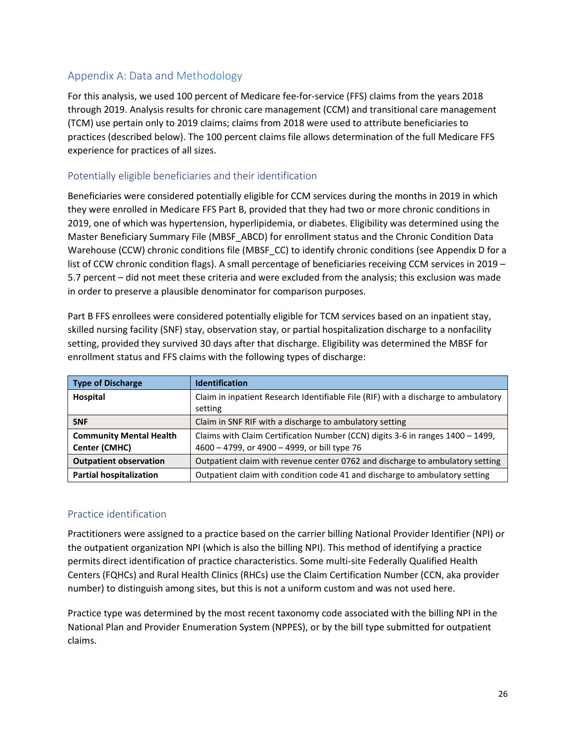#### <span id="page-25-0"></span>Appendix A: Data and Methodology

For this analysis, we used 100 percent of Medicare fee-for-service (FFS) claims from the years 2018 through 2019. Analysis results for chronic care management (CCM) and transitional care management (TCM) use pertain only to 2019 claims; claims from 2018 were used to attribute beneficiaries to practices (described below). The 100 percent claims file allows determination of the full Medicare FFS experience for practices of all sizes.

#### <span id="page-25-1"></span>Potentially eligible beneficiaries and their identification

Beneficiaries were considered potentially eligible for CCM services during the months in 2019 in which they were enrolled in Medicare FFS Part B, provided that they had two or more chronic conditions in 2019, one of which was hypertension, hyperlipidemia, or diabetes. Eligibility was determined using the Master Beneficiary Summary File (MBSF\_ABCD) for enrollment status and the Chronic Condition Data Warehouse (CCW) chronic conditions file (MBSF CC) to identify chronic conditions (see Appendix D for a list of CCW chronic condition flags). A small percentage of beneficiaries receiving CCM services in 2019 – 5.7 percent – did not meet these criteria and were excluded from the analysis; this exclusion was made in order to preserve a plausible denominator for comparison purposes.

Part B FFS enrollees were considered potentially eligible for TCM services based on an inpatient stay, skilled nursing facility (SNF) stay, observation stay, or partial hospitalization discharge to a nonfacility setting, provided they survived 30 days after that discharge. Eligibility was determined the MBSF for enrollment status and FFS claims with the following types of discharge:

| <b>Type of Discharge</b>                        | <b>Identification</b>                                                                                                          |
|-------------------------------------------------|--------------------------------------------------------------------------------------------------------------------------------|
| Hospital                                        | Claim in inpatient Research Identifiable File (RIF) with a discharge to ambulatory<br>setting                                  |
| <b>SNF</b>                                      | Claim in SNF RIF with a discharge to ambulatory setting                                                                        |
| <b>Community Mental Health</b><br>Center (CMHC) | Claims with Claim Certification Number (CCN) digits 3-6 in ranges 1400 - 1499,<br>4600 - 4799, or 4900 - 4999, or bill type 76 |
| <b>Outpatient observation</b>                   | Outpatient claim with revenue center 0762 and discharge to ambulatory setting                                                  |
| <b>Partial hospitalization</b>                  | Outpatient claim with condition code 41 and discharge to ambulatory setting                                                    |

#### <span id="page-25-2"></span>Practice identification

Practitioners were assigned to a practice based on the carrier billing National Provider Identifier (NPI) or the outpatient organization NPI (which is also the billing NPI). This method of identifying a practice permits direct identification of practice characteristics. Some multi-site Federally Qualified Health Centers (FQHCs) and Rural Health Clinics (RHCs) use the Claim Certification Number (CCN, aka provider number) to distinguish among sites, but this is not a uniform custom and was not used here.

Practice type was determined by the most recent taxonomy code associated with the billing NPI in the National Plan and Provider Enumeration System (NPPES), or by the bill type submitted for outpatient claims.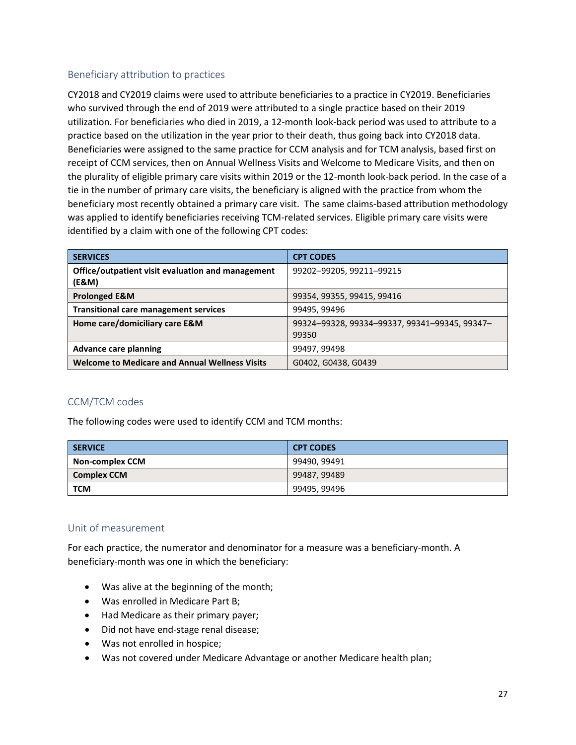#### <span id="page-26-0"></span>Beneficiary attribution to practices

CY2018 and CY2019 claims were used to attribute beneficiaries to a practice in CY2019. Beneficiaries who survived through the end of 2019 were attributed to a single practice based on their 2019 utilization. For beneficiaries who died in 2019, a 12-month look-back period was used to attribute to a practice based on the utilization in the year prior to their death, thus going back into CY2018 data. Beneficiaries were assigned to the same practice for CCM analysis and for TCM analysis, based first on receipt of CCM services, then on Annual Wellness Visits and Welcome to Medicare Visits, and then on the plurality of eligible primary care visits within 2019 or the 12-month look-back period. In the case of a tie in the number of primary care visits, the beneficiary is aligned with the practice from whom the beneficiary most recently obtained a primary care visit. The same claims-based attribution methodology was applied to identify beneficiaries receiving TCM-related services. Eligible primary care visits were identified by a claim with one of the following CPT codes:

| <b>SERVICES</b>                                            | <b>CPT CODES</b>                                       |
|------------------------------------------------------------|--------------------------------------------------------|
| Office/outpatient visit evaluation and management<br>(E&M) | 99202-99205, 99211-99215                               |
| <b>Prolonged E&amp;M</b>                                   | 99354, 99355, 99415, 99416                             |
| <b>Transitional care management services</b>               | 99495, 99496                                           |
| Home care/domiciliary care E&M                             | 99324-99328, 99334-99337, 99341-99345, 99347-<br>99350 |
| Advance care planning                                      | 99497, 99498                                           |
| <b>Welcome to Medicare and Annual Wellness Visits</b>      | G0402, G0438, G0439                                    |

#### <span id="page-26-1"></span>CCM/TCM codes

The following codes were used to identify CCM and TCM months:

| <b>SERVICE</b>         | <b>CPT CODES</b> |
|------------------------|------------------|
| <b>Non-complex CCM</b> | 99490, 99491     |
| <b>Complex CCM</b>     | 99487, 99489     |
| <b>TCM</b>             | 99495, 99496     |

#### <span id="page-26-2"></span>Unit of measurement

For each practice, the numerator and denominator for a measure was a beneficiary-month. A beneficiary-month was one in which the beneficiary:

- Was alive at the beginning of the month;
- Was enrolled in Medicare Part B;
- Had Medicare as their primary payer;
- Did not have end-stage renal disease;
- Was not enrolled in hospice;
- Was not covered under Medicare Advantage or another Medicare health plan;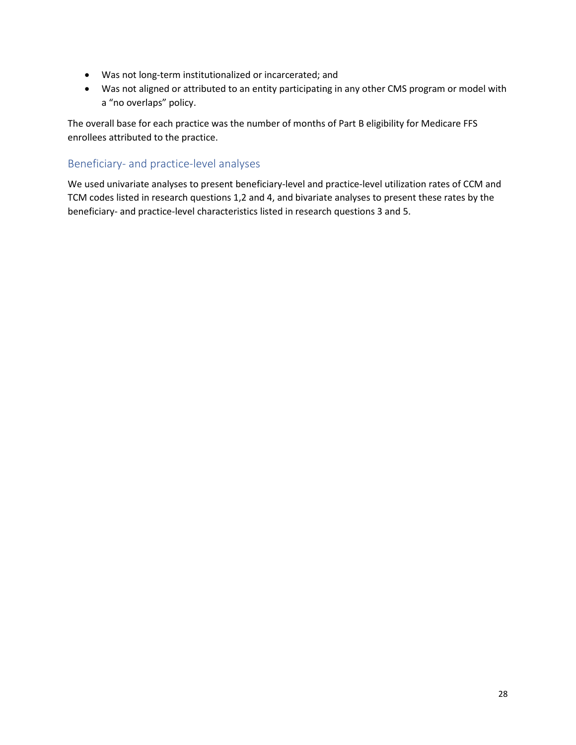- Was not long-term institutionalized or incarcerated; and
- Was not aligned or attributed to an entity participating in any other CMS program or model with a "no overlaps" policy.

The overall base for each practice was the number of months of Part B eligibility for Medicare FFS enrollees attributed to the practice.

#### <span id="page-27-0"></span>Beneficiary- and practice-level analyses

We used univariate analyses to present beneficiary-level and practice-level utilization rates of CCM and TCM codes listed in research questions 1,2 and 4, and bivariate analyses to present these rates by the beneficiary- and practice-level characteristics listed in research questions 3 and 5.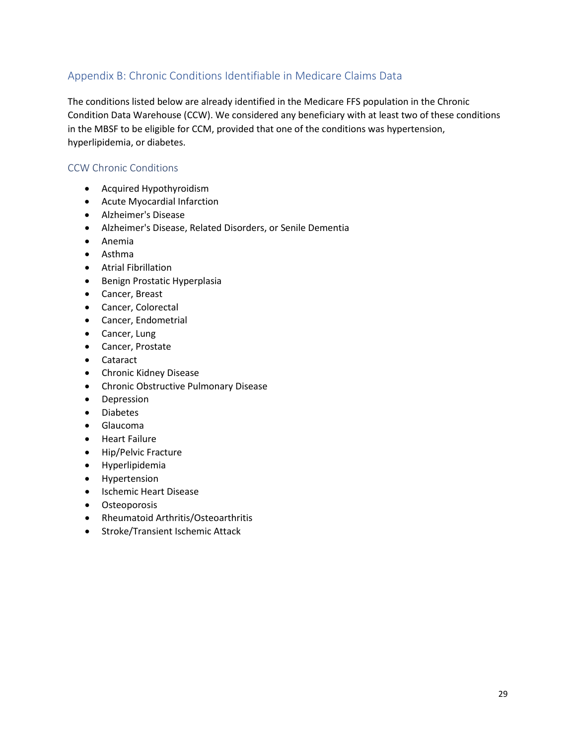#### <span id="page-28-0"></span>Appendix B: Chronic Conditions Identifiable in Medicare Claims Data

The conditions listed below are already identified in the Medicare FFS population in the Chronic Condition Data Warehouse (CCW). We considered any beneficiary with at least two of these conditions in the MBSF to be eligible for CCM, provided that one of the conditions was hypertension, hyperlipidemia, or diabetes.

#### <span id="page-28-1"></span>CCW Chronic Conditions

- Acquired Hypothyroidism
- Acute Myocardial Infarction
- Alzheimer's Disease
- Alzheimer's Disease, Related Disorders, or Senile Dementia
- Anemia
- Asthma
- Atrial Fibrillation
- Benign Prostatic Hyperplasia
- Cancer, Breast
- Cancer, Colorectal
- Cancer, Endometrial
- Cancer, Lung
- Cancer, Prostate
- Cataract
- Chronic Kidney Disease
- Chronic Obstructive Pulmonary Disease
- Depression
- Diabetes
- Glaucoma
- Heart Failure
- Hip/Pelvic Fracture
- Hyperlipidemia
- Hypertension
- Ischemic Heart Disease
- Osteoporosis
- Rheumatoid Arthritis/Osteoarthritis
- Stroke/Transient Ischemic Attack